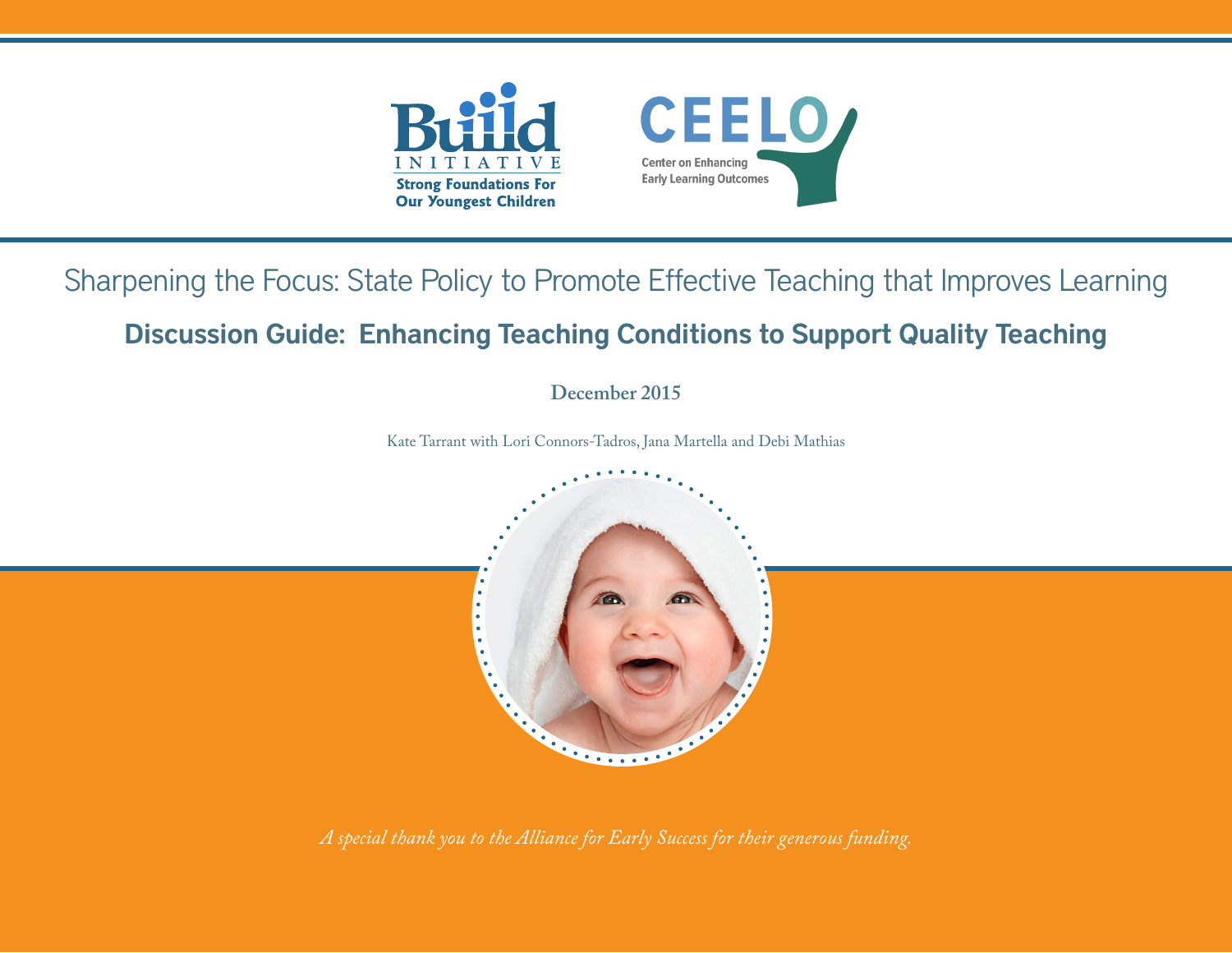

# Sharpening the Focus: State Policy to Promote Effective Teaching that Improves Learning

## Discussion Guide: Enhancing Teaching Conditions to Support Quality Teaching

**December 2015**

Kate Tarrant with Lori Connors-Tadros, Jana Martella and Debi Mathias



*A special thank you to the Alliance for Early Success for their generous funding.*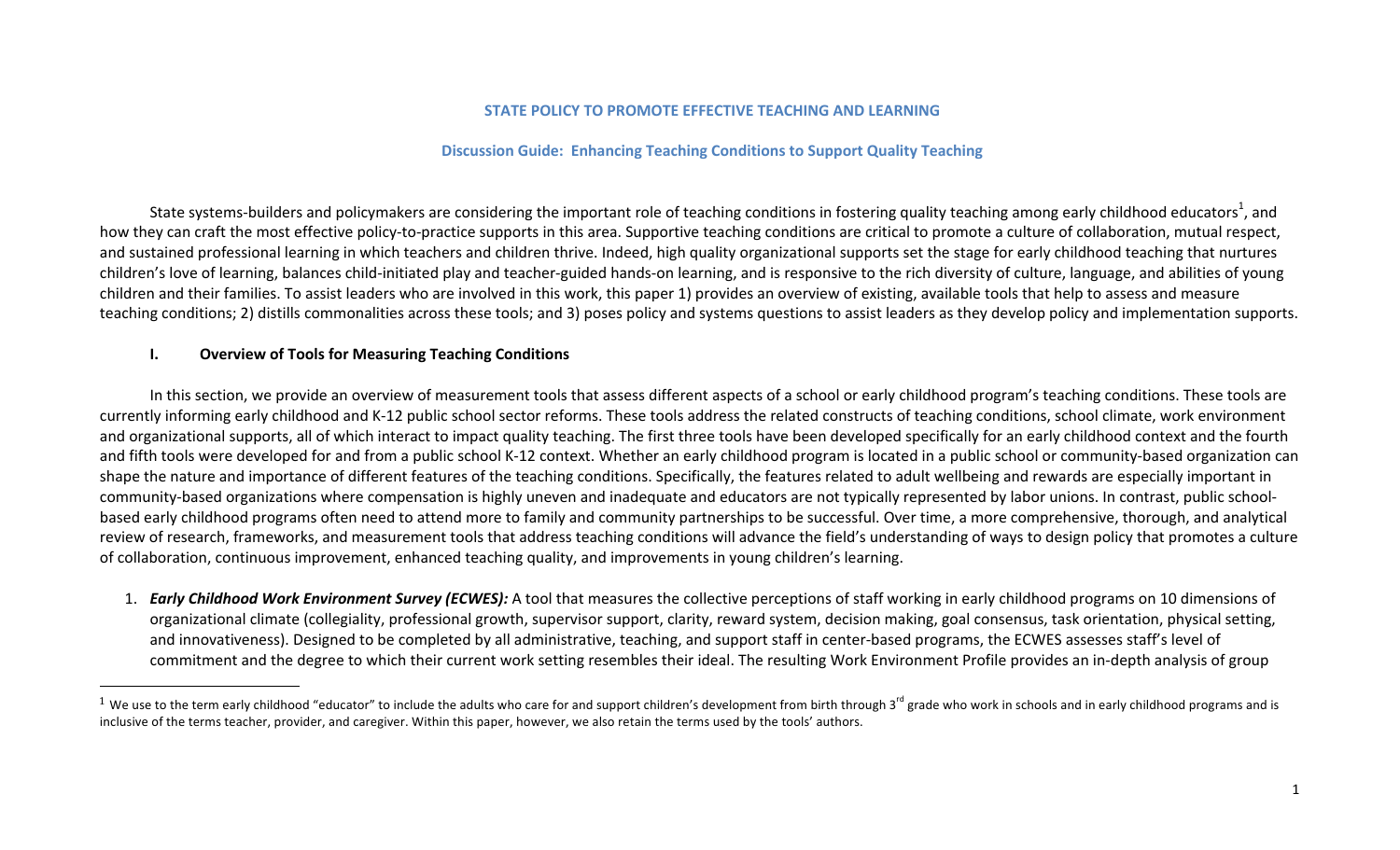#### **STATE POLICY TO PROMOTE EFFECTIVE TEACHING AND LEARNING**

#### **Discussion Guide: Enhancing Teaching Conditions to Support Quality Teaching**

State systems-builders and policymakers are considering the important role of teaching conditions in fostering quality teaching among early childhood educators<sup>1</sup>, and how they can craft the most effective policy-to-practice supports in this area. Supportive teaching conditions are critical to promote a culture of collaboration, mutual respect, and sustained professional learning in which teachers and children thrive. Indeed, high quality organizational supports set the stage for early childhood teaching that nurtures children's love of learning, balances child-initiated play and teacher-guided hands-on learning, and is responsive to the rich diversity of culture, language, and abilities of young children and their families. To assist leaders who are involved in this work, this paper 1) provides an overview of existing, available tools that help to assess and measure teaching conditions; 2) distills commonalities across these tools; and 3) poses policy and systems questions to assist leaders as they develop policy and implementation supports.

#### **I. Overview of Tools for Measuring Teaching Conditions**

 

In this section, we provide an overview of measurement tools that assess different aspects of a school or early childhood program's teaching conditions. These tools are currently informing early childhood and K-12 public school sector reforms. These tools address the related constructs of teaching conditions, school climate, work environment and organizational supports, all of which interact to impact quality teaching. The first three tools have been developed specifically for an early childhood context and the fourth and fifth tools were developed for and from a public school K-12 context. Whether an early childhood program is located in a public school or community-based organization can shape the nature and importance of different features of the teaching conditions. Specifically, the features related to adult wellbeing and rewards are especially important in community-based organizations where compensation is highly uneven and inadequate and educators are not typically represented by labor unions. In contrast, public schoolbased early childhood programs often need to attend more to family and community partnerships to be successful. Over time, a more comprehensive, thorough, and analytical review of research, frameworks, and measurement tools that address teaching conditions will advance the field's understanding of ways to design policy that promotes a culture of collaboration, continuous improvement, enhanced teaching quality, and improvements in young children's learning.

1. **Early Childhood Work Environment Survey (ECWES):** A tool that measures the collective perceptions of staff working in early childhood programs on 10 dimensions of organizational climate (collegiality, professional growth, supervisor support, clarity, reward system, decision making, goal consensus, task orientation, physical setting, and innovativeness). Designed to be completed by all administrative, teaching, and support staff in center-based programs, the ECWES assesses staff's level of commitment and the degree to which their current work setting resembles their ideal. The resulting Work Environment Profile provides an in-depth analysis of group

<sup>&</sup>lt;sup>1</sup> We use to the term early childhood "educator" to include the adults who care for and support children's development from birth through 3<sup>rd</sup> grade who work in schools and in early childhood programs and is inclusive of the terms teacher, provider, and caregiver. Within this paper, however, we also retain the terms used by the tools' authors.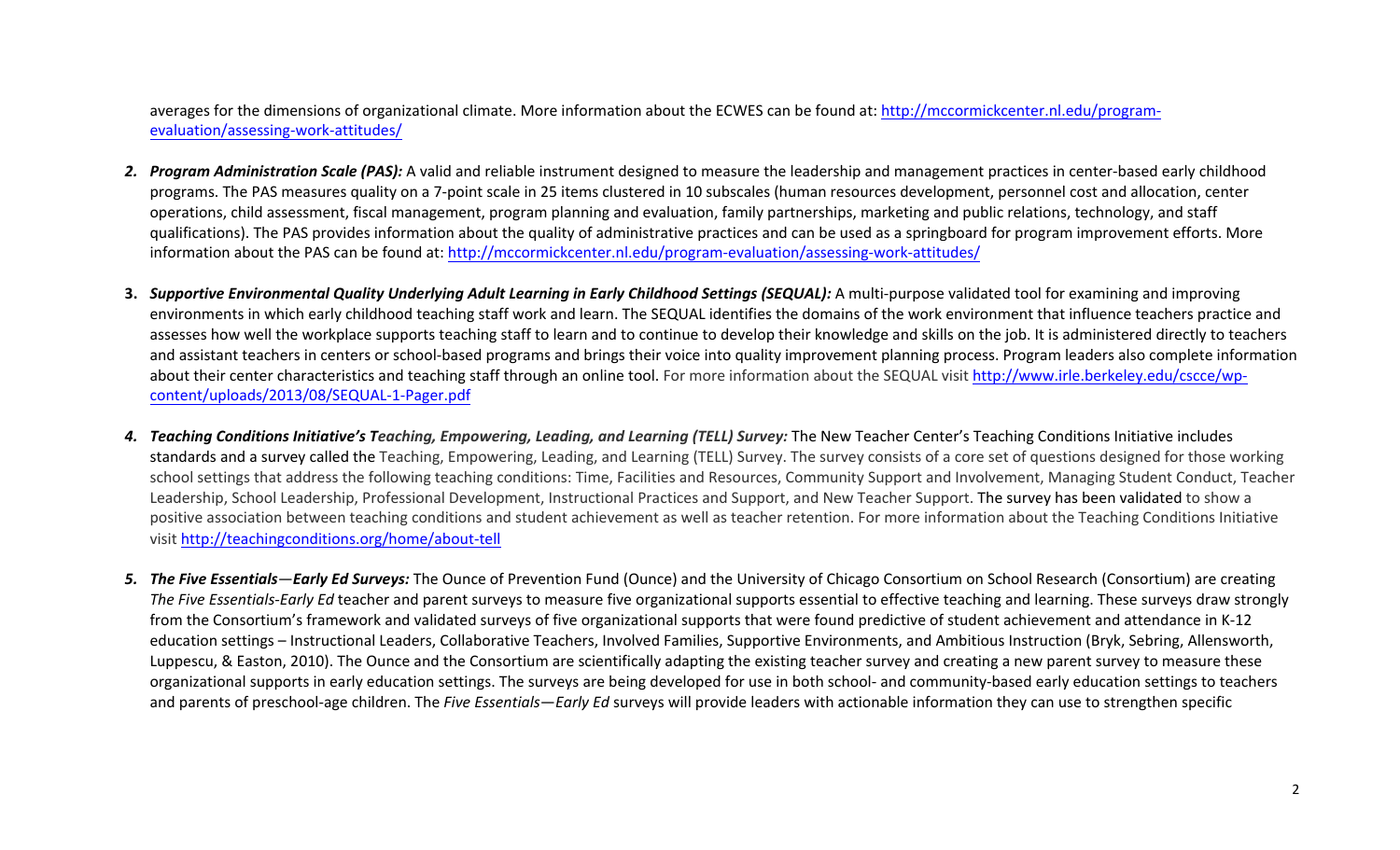averages for the dimensions of organizational climate. More information about the ECWES can be found at: http://mccormickcenter.nl.edu/programevaluation/assessing-work-attitudes/

- 2. Program Administration Scale (PAS): A valid and reliable instrument designed to measure the leadership and management practices in center-based early childhood programs. The PAS measures quality on a 7-point scale in 25 items clustered in 10 subscales (human resources development, personnel cost and allocation, center operations, child assessment, fiscal management, program planning and evaluation, family partnerships, marketing and public relations, technology, and staff qualifications). The PAS provides information about the quality of administrative practices and can be used as a springboard for program improvement efforts. More information about the PAS can be found at: http://mccormickcenter.nl.edu/program-evaluation/assessing-work-attitudes/
- **3.** Supportive Environmental Quality Underlying Adult Learning in Early Childhood Settings (SEQUAL): A multi-purpose validated tool for examining and improving environments in which early childhood teaching staff work and learn. The SEQUAL identifies the domains of the work environment that influence teachers practice and assesses how well the workplace supports teaching staff to learn and to continue to develop their knowledge and skills on the job. It is administered directly to teachers and assistant teachers in centers or school-based programs and brings their voice into quality improvement planning process. Program leaders also complete information about their center characteristics and teaching staff through an online tool. For more information about the SEQUAL visit http://www.irle.berkeley.edu/cscce/wpcontent/uploads/2013/08/SEQUAL-1-Pager.pdf
- 4. **Teaching Conditions Initiative's Teaching, Empowering, Leading, and Learning (TELL) Survey: The New Teacher Center's Teaching Conditions Initiative includes** standards and a survey called the Teaching, Empowering, Leading, and Learning (TELL) Survey. The survey consists of a core set of questions designed for those working school settings that address the following teaching conditions: Time, Facilities and Resources, Community Support and Involvement, Managing Student Conduct, Teacher Leadership, School Leadership, Professional Development, Instructional Practices and Support, and New Teacher Support. The survey has been validated to show a positive association between teaching conditions and student achievement as well as teacher retention. For more information about the Teaching Conditions Initiative visit http://teachingconditions.org/home/about-tell
- 5. The Five Essentials—Early Ed Surveys: The Ounce of Prevention Fund (Ounce) and the University of Chicago Consortium on School Research (Consortium) are creating *The Five Essentials-Early Ed* teacher and parent surveys to measure five organizational supports essential to effective teaching and learning. These surveys draw strongly from the Consortium's framework and validated surveys of five organizational supports that were found predictive of student achievement and attendance in K-12 education settings – Instructional Leaders, Collaborative Teachers, Involved Families, Supportive Environments, and Ambitious Instruction (Bryk, Sebring, Allensworth, Luppescu, & Easton, 2010). The Ounce and the Consortium are scientifically adapting the existing teacher survey and creating a new parent survey to measure these organizational supports in early education settings. The surveys are being developed for use in both school- and community-based early education settings to teachers and parents of preschool-age children. The *Five Essentials—Early Ed* surveys will provide leaders with actionable information they can use to strengthen specific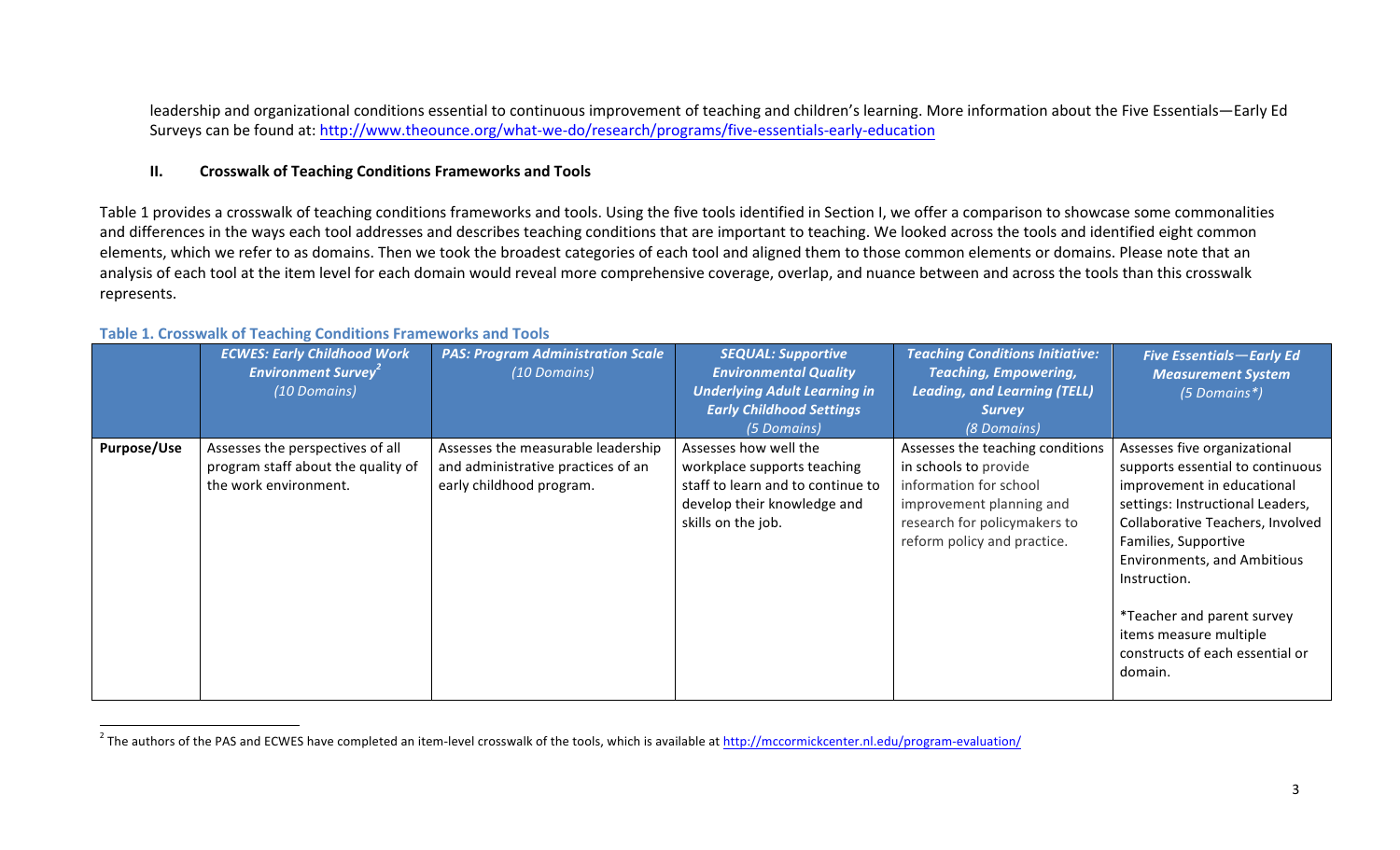leadership and organizational conditions essential to continuous improvement of teaching and children's learning. More information about the Five Essentials—Early Ed Surveys can be found at: http://www.theounce.org/what-we-do/research/programs/five-essentials-early-education

#### **II. Crosswalk of Teaching Conditions Frameworks and Tools**

Table 1 provides a crosswalk of teaching conditions frameworks and tools. Using the five tools identified in Section I, we offer a comparison to showcase some commonalities and differences in the ways each tool addresses and describes teaching conditions that are important to teaching. We looked across the tools and identified eight common elements, which we refer to as domains. Then we took the broadest categories of each tool and aligned them to those common elements or domains. Please note that an analysis of each tool at the item level for each domain would reveal more comprehensive coverage, overlap, and nuance between and across the tools than this crosswalk represents.

|             | <b>ECWES: Early Childhood Work</b><br><b>Environment Survey<sup>2</sup></b><br>(10 Domains)     | <b>PAS: Program Administration Scale</b><br>(10 Domains)                                             | <b>SEQUAL: Supportive</b><br><b>Environmental Quality</b><br><b>Underlying Adult Learning in</b><br><b>Early Childhood Settings</b><br>(5 Domains) | <b>Teaching Conditions Initiative:</b><br><b>Teaching, Empowering,</b><br><b>Leading, and Learning (TELL)</b><br><b>Survey</b><br>(8 Domains)                                  | <b>Five Essentials-Early Ed</b><br><b>Measurement System</b><br>(5 Domains*)                                                                                                                                                                                                                                                                               |
|-------------|-------------------------------------------------------------------------------------------------|------------------------------------------------------------------------------------------------------|----------------------------------------------------------------------------------------------------------------------------------------------------|--------------------------------------------------------------------------------------------------------------------------------------------------------------------------------|------------------------------------------------------------------------------------------------------------------------------------------------------------------------------------------------------------------------------------------------------------------------------------------------------------------------------------------------------------|
| Purpose/Use | Assesses the perspectives of all<br>program staff about the quality of<br>the work environment. | Assesses the measurable leadership<br>and administrative practices of an<br>early childhood program. | Assesses how well the<br>workplace supports teaching<br>staff to learn and to continue to<br>develop their knowledge and<br>skills on the job.     | Assesses the teaching conditions<br>in schools to provide<br>information for school<br>improvement planning and<br>research for policymakers to<br>reform policy and practice. | Assesses five organizational<br>supports essential to continuous<br>improvement in educational<br>settings: Instructional Leaders,<br>Collaborative Teachers, Involved<br>Families, Supportive<br><b>Environments, and Ambitious</b><br>Instruction.<br>*Teacher and parent survey<br>items measure multiple<br>constructs of each essential or<br>domain. |

#### **Table 1. Crosswalk of Teaching Conditions Frameworks and Tools**

 

 $^{2}$  The authors of the PAS and ECWES have completed an item-level crosswalk of the tools, which is available at http://mccormickcenter.nl.edu/program-evaluation/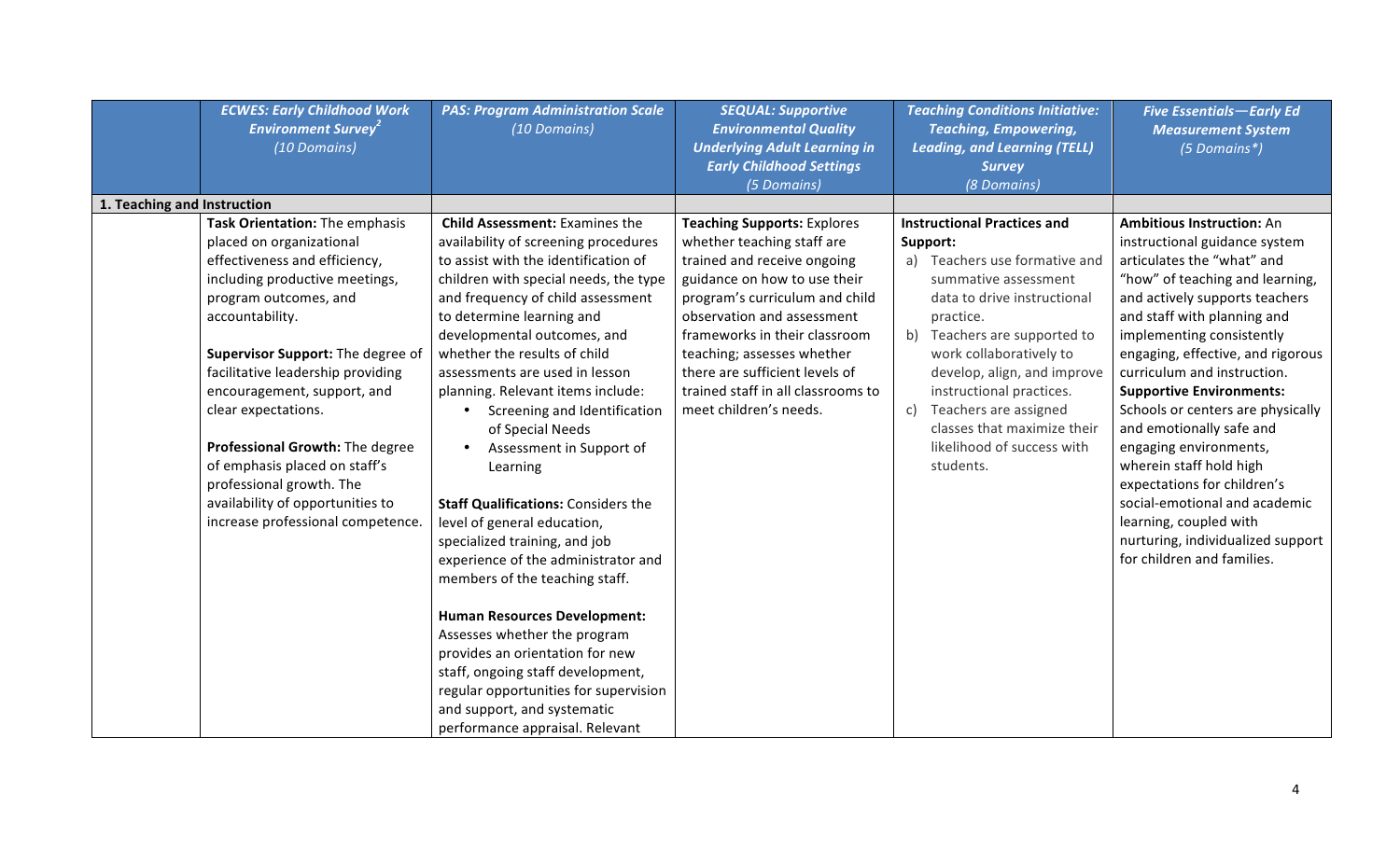|                             | <b>ECWES: Early Childhood Work</b><br><b>Environment Survey<sup>2</sup></b><br>(10 Domains)                                                                                                                                                                                                                                                                                                                                                                                        | <b>PAS: Program Administration Scale</b><br>(10 Domains)                                                                                                                                                                                                                                                                                                                                                                                                                                                                                                                                                                                                                                                                                                                                                                                                                                                            | <b>SEQUAL: Supportive</b><br><b>Environmental Quality</b><br><b>Underlying Adult Learning in</b><br><b>Early Childhood Settings</b><br>(5 Domains)                                                                                                                                                                                                               | <b>Teaching Conditions Initiative:</b><br><b>Teaching, Empowering,</b><br><b>Leading, and Learning (TELL)</b><br><b>Survey</b><br>(8 Domains)                                                                                                                                                                                                                                         | <b>Five Essentials-Early Ed</b><br><b>Measurement System</b><br>(5 Domains*)                                                                                                                                                                                                                                                                                                                                                                                                                                                                                                                                               |
|-----------------------------|------------------------------------------------------------------------------------------------------------------------------------------------------------------------------------------------------------------------------------------------------------------------------------------------------------------------------------------------------------------------------------------------------------------------------------------------------------------------------------|---------------------------------------------------------------------------------------------------------------------------------------------------------------------------------------------------------------------------------------------------------------------------------------------------------------------------------------------------------------------------------------------------------------------------------------------------------------------------------------------------------------------------------------------------------------------------------------------------------------------------------------------------------------------------------------------------------------------------------------------------------------------------------------------------------------------------------------------------------------------------------------------------------------------|------------------------------------------------------------------------------------------------------------------------------------------------------------------------------------------------------------------------------------------------------------------------------------------------------------------------------------------------------------------|---------------------------------------------------------------------------------------------------------------------------------------------------------------------------------------------------------------------------------------------------------------------------------------------------------------------------------------------------------------------------------------|----------------------------------------------------------------------------------------------------------------------------------------------------------------------------------------------------------------------------------------------------------------------------------------------------------------------------------------------------------------------------------------------------------------------------------------------------------------------------------------------------------------------------------------------------------------------------------------------------------------------------|
| 1. Teaching and Instruction |                                                                                                                                                                                                                                                                                                                                                                                                                                                                                    |                                                                                                                                                                                                                                                                                                                                                                                                                                                                                                                                                                                                                                                                                                                                                                                                                                                                                                                     |                                                                                                                                                                                                                                                                                                                                                                  |                                                                                                                                                                                                                                                                                                                                                                                       |                                                                                                                                                                                                                                                                                                                                                                                                                                                                                                                                                                                                                            |
|                             | Task Orientation: The emphasis<br>placed on organizational<br>effectiveness and efficiency,<br>including productive meetings,<br>program outcomes, and<br>accountability.<br>Supervisor Support: The degree of<br>facilitative leadership providing<br>encouragement, support, and<br>clear expectations.<br>Professional Growth: The degree<br>of emphasis placed on staff's<br>professional growth. The<br>availability of opportunities to<br>increase professional competence. | <b>Child Assessment: Examines the</b><br>availability of screening procedures<br>to assist with the identification of<br>children with special needs, the type<br>and frequency of child assessment<br>to determine learning and<br>developmental outcomes, and<br>whether the results of child<br>assessments are used in lesson<br>planning. Relevant items include:<br>Screening and Identification<br>of Special Needs<br>Assessment in Support of<br>Learning<br><b>Staff Qualifications: Considers the</b><br>level of general education,<br>specialized training, and job<br>experience of the administrator and<br>members of the teaching staff.<br><b>Human Resources Development:</b><br>Assesses whether the program<br>provides an orientation for new<br>staff, ongoing staff development,<br>regular opportunities for supervision<br>and support, and systematic<br>performance appraisal. Relevant | <b>Teaching Supports: Explores</b><br>whether teaching staff are<br>trained and receive ongoing<br>guidance on how to use their<br>program's curriculum and child<br>observation and assessment<br>frameworks in their classroom<br>teaching; assesses whether<br>there are sufficient levels of<br>trained staff in all classrooms to<br>meet children's needs. | <b>Instructional Practices and</b><br>Support:<br>a) Teachers use formative and<br>summative assessment<br>data to drive instructional<br>practice.<br>Teachers are supported to<br>b)<br>work collaboratively to<br>develop, align, and improve<br>instructional practices.<br>Teachers are assigned<br>c)<br>classes that maximize their<br>likelihood of success with<br>students. | <b>Ambitious Instruction: An</b><br>instructional guidance system<br>articulates the "what" and<br>"how" of teaching and learning,<br>and actively supports teachers<br>and staff with planning and<br>implementing consistently<br>engaging, effective, and rigorous<br>curriculum and instruction.<br><b>Supportive Environments:</b><br>Schools or centers are physically<br>and emotionally safe and<br>engaging environments,<br>wherein staff hold high<br>expectations for children's<br>social-emotional and academic<br>learning, coupled with<br>nurturing, individualized support<br>for children and families. |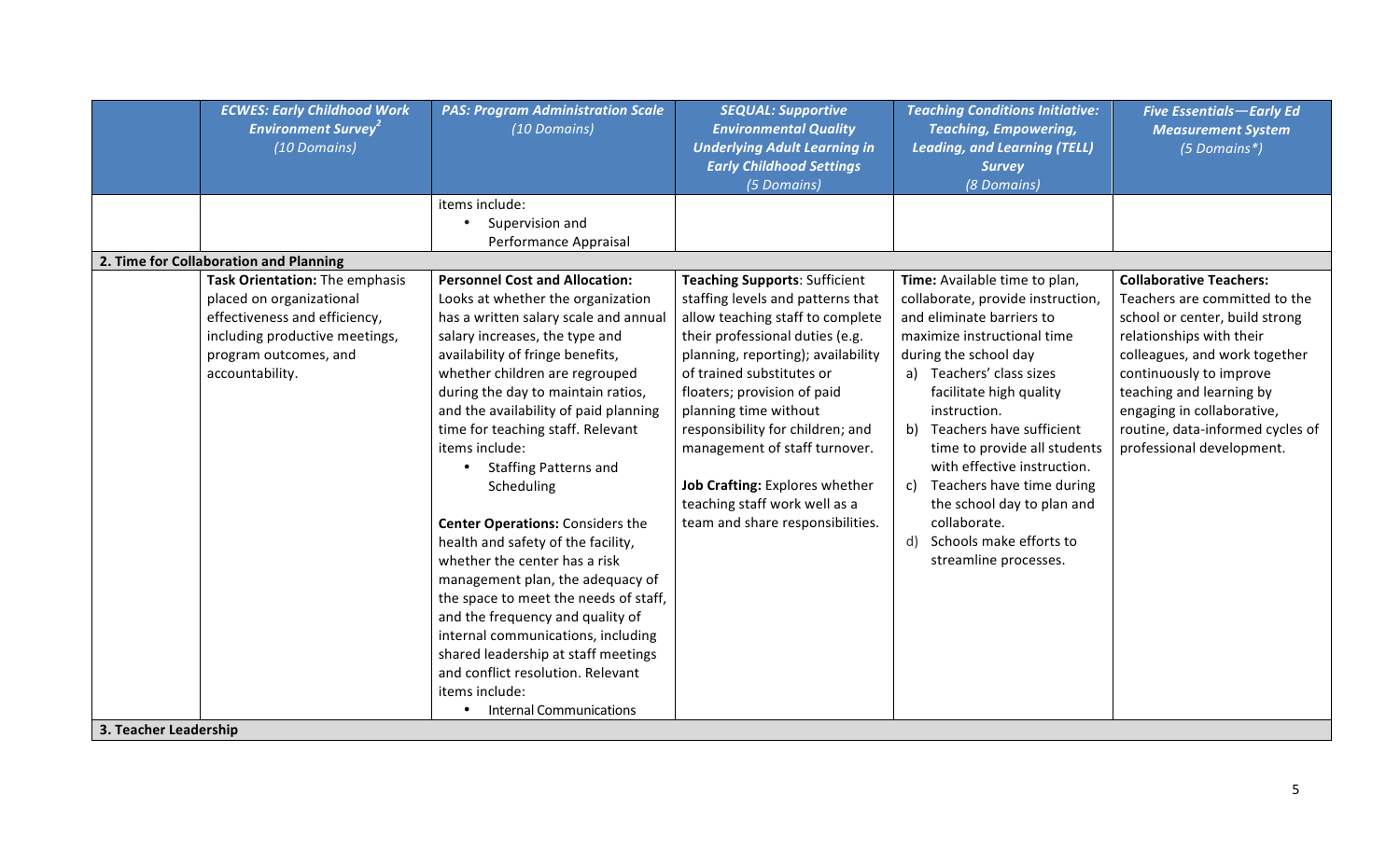|                       | <b>ECWES: Early Childhood Work</b><br><b>Environment Survey<sup>2</sup></b><br>(10 Domains)                                             | <b>PAS: Program Administration Scale</b><br>(10 Domains)                                                                                                                                                                                                                                                                                                                                                                                                                                                                                                                                                                                                                                                                                                                                     | <b>SEQUAL: Supportive</b><br><b>Environmental Quality</b><br><b>Underlying Adult Learning in</b><br><b>Early Childhood Settings</b><br>(5 Domains)                                                                                                                                                                                                                                                              | <b>Teaching Conditions Initiative:</b><br><b>Teaching, Empowering,</b><br><b>Leading, and Learning (TELL)</b><br><b>Survey</b><br>(8 Domains)                                                                                                                                                                                                                                                                                             | <b>Five Essentials-Early Ed</b><br><b>Measurement System</b><br>(5 Domains*)                                                                                                                                                                                                       |
|-----------------------|-----------------------------------------------------------------------------------------------------------------------------------------|----------------------------------------------------------------------------------------------------------------------------------------------------------------------------------------------------------------------------------------------------------------------------------------------------------------------------------------------------------------------------------------------------------------------------------------------------------------------------------------------------------------------------------------------------------------------------------------------------------------------------------------------------------------------------------------------------------------------------------------------------------------------------------------------|-----------------------------------------------------------------------------------------------------------------------------------------------------------------------------------------------------------------------------------------------------------------------------------------------------------------------------------------------------------------------------------------------------------------|-------------------------------------------------------------------------------------------------------------------------------------------------------------------------------------------------------------------------------------------------------------------------------------------------------------------------------------------------------------------------------------------------------------------------------------------|------------------------------------------------------------------------------------------------------------------------------------------------------------------------------------------------------------------------------------------------------------------------------------|
|                       |                                                                                                                                         | items include:                                                                                                                                                                                                                                                                                                                                                                                                                                                                                                                                                                                                                                                                                                                                                                               |                                                                                                                                                                                                                                                                                                                                                                                                                 |                                                                                                                                                                                                                                                                                                                                                                                                                                           |                                                                                                                                                                                                                                                                                    |
|                       |                                                                                                                                         | Supervision and<br>$\bullet$<br>Performance Appraisal                                                                                                                                                                                                                                                                                                                                                                                                                                                                                                                                                                                                                                                                                                                                        |                                                                                                                                                                                                                                                                                                                                                                                                                 |                                                                                                                                                                                                                                                                                                                                                                                                                                           |                                                                                                                                                                                                                                                                                    |
|                       | 2. Time for Collaboration and Planning                                                                                                  |                                                                                                                                                                                                                                                                                                                                                                                                                                                                                                                                                                                                                                                                                                                                                                                              |                                                                                                                                                                                                                                                                                                                                                                                                                 |                                                                                                                                                                                                                                                                                                                                                                                                                                           |                                                                                                                                                                                                                                                                                    |
|                       | Task Orientation: The emphasis                                                                                                          | <b>Personnel Cost and Allocation:</b>                                                                                                                                                                                                                                                                                                                                                                                                                                                                                                                                                                                                                                                                                                                                                        | <b>Teaching Supports: Sufficient</b>                                                                                                                                                                                                                                                                                                                                                                            | Time: Available time to plan,                                                                                                                                                                                                                                                                                                                                                                                                             | <b>Collaborative Teachers:</b>                                                                                                                                                                                                                                                     |
|                       | placed on organizational<br>effectiveness and efficiency,<br>including productive meetings,<br>program outcomes, and<br>accountability. | Looks at whether the organization<br>has a written salary scale and annual<br>salary increases, the type and<br>availability of fringe benefits,<br>whether children are regrouped<br>during the day to maintain ratios,<br>and the availability of paid planning<br>time for teaching staff. Relevant<br>items include:<br><b>Staffing Patterns and</b><br>Scheduling<br><b>Center Operations: Considers the</b><br>health and safety of the facility,<br>whether the center has a risk<br>management plan, the adequacy of<br>the space to meet the needs of staff,<br>and the frequency and quality of<br>internal communications, including<br>shared leadership at staff meetings<br>and conflict resolution. Relevant<br>items include:<br><b>Internal Communications</b><br>$\bullet$ | staffing levels and patterns that<br>allow teaching staff to complete<br>their professional duties (e.g.<br>planning, reporting); availability<br>of trained substitutes or<br>floaters; provision of paid<br>planning time without<br>responsibility for children; and<br>management of staff turnover.<br>Job Crafting: Explores whether<br>teaching staff work well as a<br>team and share responsibilities. | collaborate, provide instruction,<br>and eliminate barriers to<br>maximize instructional time<br>during the school day<br>a) Teachers' class sizes<br>facilitate high quality<br>instruction.<br>Teachers have sufficient<br>b)<br>time to provide all students<br>with effective instruction.<br>Teachers have time during<br>c)<br>the school day to plan and<br>collaborate.<br>d)<br>Schools make efforts to<br>streamline processes. | Teachers are committed to the<br>school or center, build strong<br>relationships with their<br>colleagues, and work together<br>continuously to improve<br>teaching and learning by<br>engaging in collaborative,<br>routine, data-informed cycles of<br>professional development. |
| 3. Teacher Leadership |                                                                                                                                         |                                                                                                                                                                                                                                                                                                                                                                                                                                                                                                                                                                                                                                                                                                                                                                                              |                                                                                                                                                                                                                                                                                                                                                                                                                 |                                                                                                                                                                                                                                                                                                                                                                                                                                           |                                                                                                                                                                                                                                                                                    |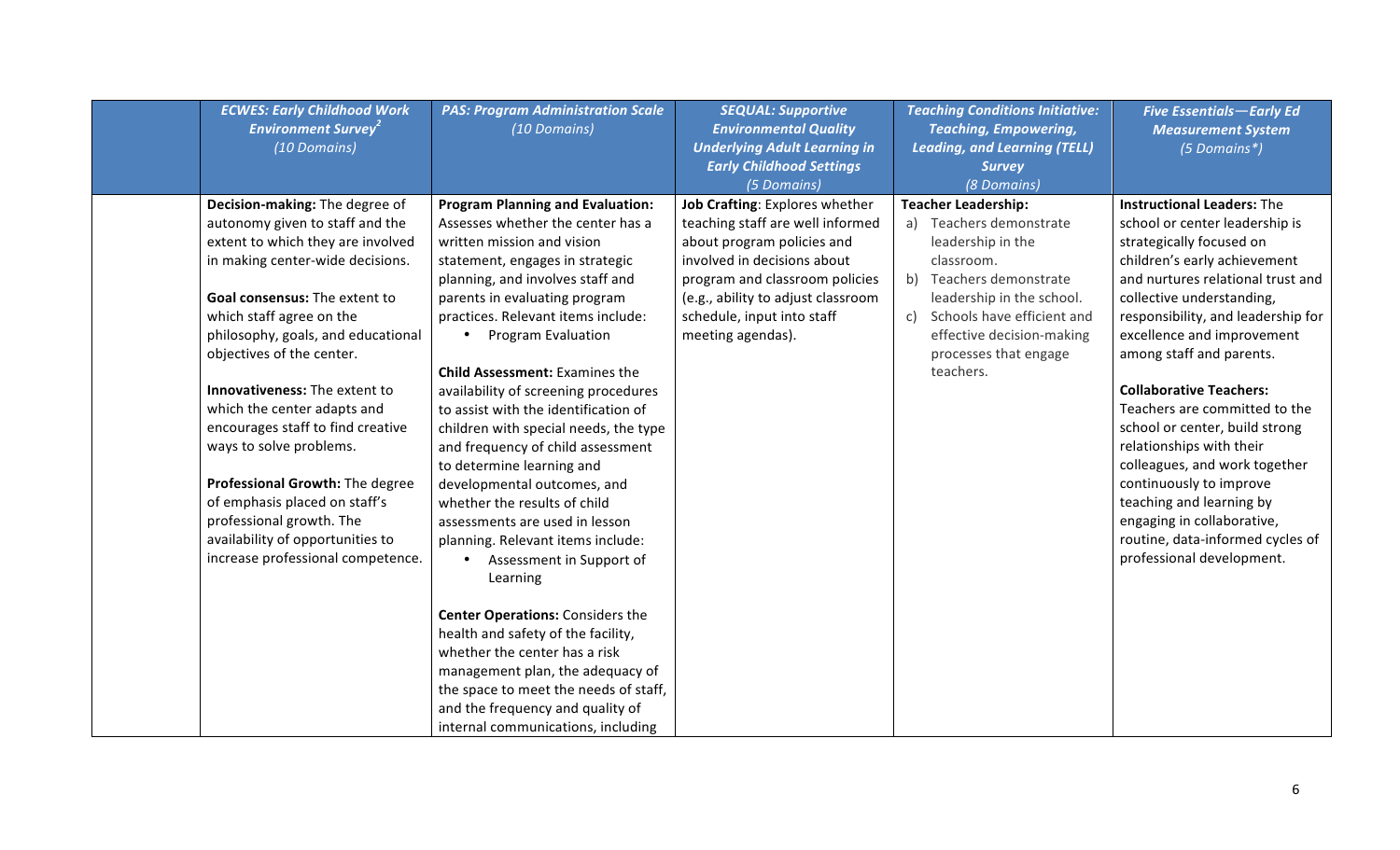| <b>ECWES: Early Childhood Work</b><br><b>Environment Survey<sup>2</sup></b><br>(10 Domains)                                                                                                                                                                                                                                                                                                                                                                                                                                                                                         | <b>PAS: Program Administration Scale</b><br>(10 Domains)                                                                                                                                                                                                                                                                                                                                                                                                                                                                                                                                                                                                                                                                                                                                                                                                                                                                                                                    | <b>SEQUAL: Supportive</b><br><b>Environmental Quality</b><br><b>Underlying Adult Learning in</b><br><b>Early Childhood Settings</b><br>(5 Domains)                                                                                                         | <b>Teaching Conditions Initiative:</b><br><b>Teaching, Empowering,</b><br><b>Leading, and Learning (TELL)</b><br><b>Survey</b><br>(8 Domains)                                                                                                        | <b>Five Essentials-Early Ed</b><br><b>Measurement System</b><br>(5 Domains*)                                                                                                                                                                                                                                                                                                                                                                                                                                                                                                                                              |
|-------------------------------------------------------------------------------------------------------------------------------------------------------------------------------------------------------------------------------------------------------------------------------------------------------------------------------------------------------------------------------------------------------------------------------------------------------------------------------------------------------------------------------------------------------------------------------------|-----------------------------------------------------------------------------------------------------------------------------------------------------------------------------------------------------------------------------------------------------------------------------------------------------------------------------------------------------------------------------------------------------------------------------------------------------------------------------------------------------------------------------------------------------------------------------------------------------------------------------------------------------------------------------------------------------------------------------------------------------------------------------------------------------------------------------------------------------------------------------------------------------------------------------------------------------------------------------|------------------------------------------------------------------------------------------------------------------------------------------------------------------------------------------------------------------------------------------------------------|------------------------------------------------------------------------------------------------------------------------------------------------------------------------------------------------------------------------------------------------------|---------------------------------------------------------------------------------------------------------------------------------------------------------------------------------------------------------------------------------------------------------------------------------------------------------------------------------------------------------------------------------------------------------------------------------------------------------------------------------------------------------------------------------------------------------------------------------------------------------------------------|
| Decision-making: The degree of<br>autonomy given to staff and the<br>extent to which they are involved<br>in making center-wide decisions.<br>Goal consensus: The extent to<br>which staff agree on the<br>philosophy, goals, and educational<br>objectives of the center.<br>Innovativeness: The extent to<br>which the center adapts and<br>encourages staff to find creative<br>ways to solve problems.<br>Professional Growth: The degree<br>of emphasis placed on staff's<br>professional growth. The<br>availability of opportunities to<br>increase professional competence. | <b>Program Planning and Evaluation:</b><br>Assesses whether the center has a<br>written mission and vision<br>statement, engages in strategic<br>planning, and involves staff and<br>parents in evaluating program<br>practices. Relevant items include:<br>• Program Evaluation<br><b>Child Assessment: Examines the</b><br>availability of screening procedures<br>to assist with the identification of<br>children with special needs, the type<br>and frequency of child assessment<br>to determine learning and<br>developmental outcomes, and<br>whether the results of child<br>assessments are used in lesson<br>planning. Relevant items include:<br>Assessment in Support of<br>Learning<br><b>Center Operations: Considers the</b><br>health and safety of the facility,<br>whether the center has a risk<br>management plan, the adequacy of<br>the space to meet the needs of staff,<br>and the frequency and quality of<br>internal communications, including | Job Crafting: Explores whether<br>teaching staff are well informed<br>about program policies and<br>involved in decisions about<br>program and classroom policies<br>(e.g., ability to adjust classroom<br>schedule, input into staff<br>meeting agendas). | <b>Teacher Leadership:</b><br>Teachers demonstrate<br>leadership in the<br>classroom.<br>b) Teachers demonstrate<br>leadership in the school.<br>Schools have efficient and<br>C)<br>effective decision-making<br>processes that engage<br>teachers. | <b>Instructional Leaders: The</b><br>school or center leadership is<br>strategically focused on<br>children's early achievement<br>and nurtures relational trust and<br>collective understanding,<br>responsibility, and leadership for<br>excellence and improvement<br>among staff and parents.<br><b>Collaborative Teachers:</b><br>Teachers are committed to the<br>school or center, build strong<br>relationships with their<br>colleagues, and work together<br>continuously to improve<br>teaching and learning by<br>engaging in collaborative,<br>routine, data-informed cycles of<br>professional development. |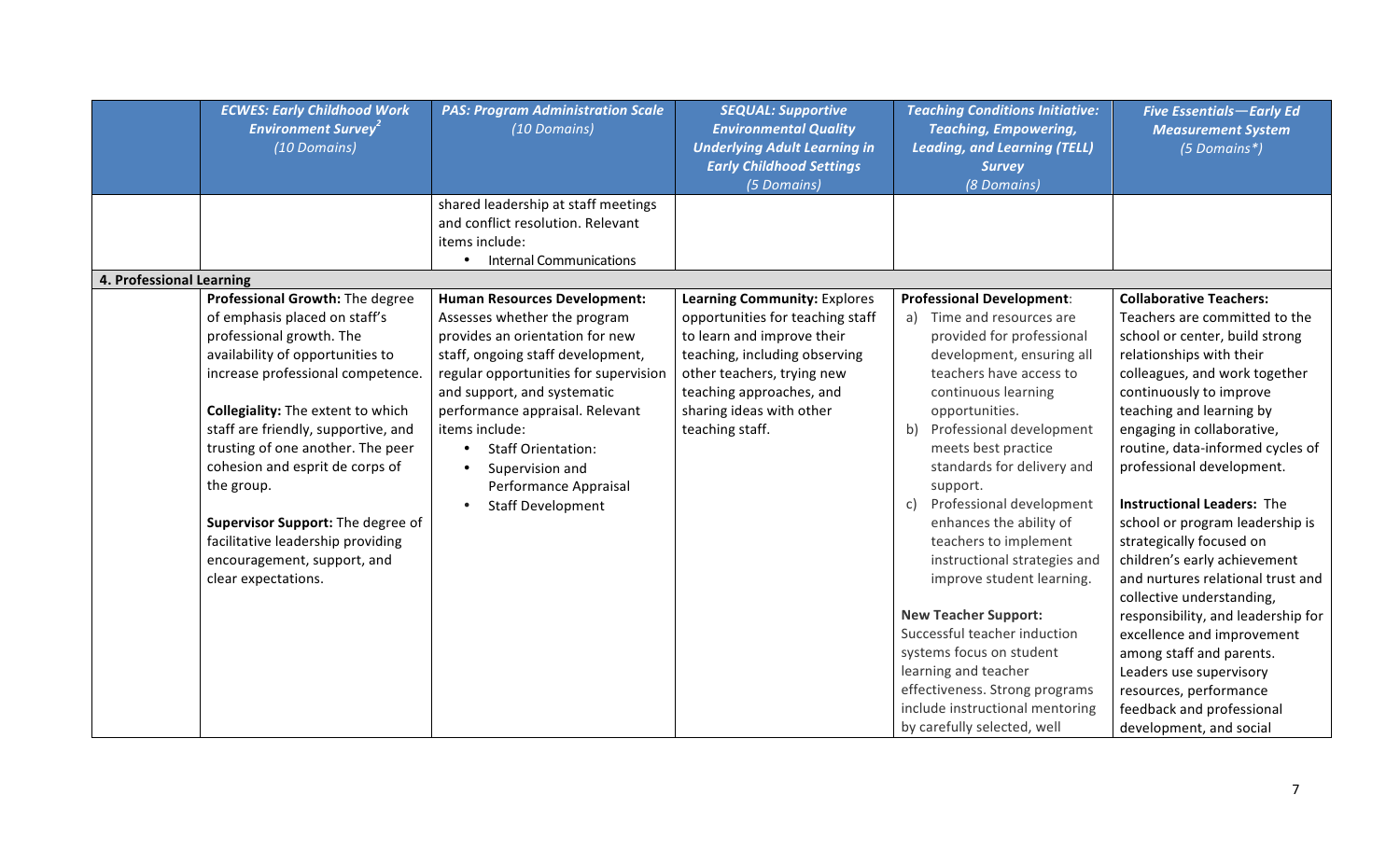|                          | <b>ECWES: Early Childhood Work</b><br><b>Environment Survey<sup>2</sup></b><br>(10 Domains)                                                                                                                                                                                                                                                                                                                                                                                    | <b>PAS: Program Administration Scale</b><br>(10 Domains)                                                                                                                                                                                                                                                                                                                      | <b>SEQUAL: Supportive</b><br><b>Environmental Quality</b><br><b>Underlying Adult Learning in</b><br><b>Early Childhood Settings</b><br>(5 Domains)                                                                                       | <b>Teaching Conditions Initiative:</b><br><b>Teaching, Empowering,</b><br><b>Leading, and Learning (TELL)</b><br><b>Survey</b><br>(8 Domains)                                                                                                                                                                                                                                                                                                                                                                                                                                                                                                                               | <b>Five Essentials-Early Ed</b><br><b>Measurement System</b><br>(5 Domains*)                                                                                                                                                                                                                                                                                                                                                                                                                                                                                                                                                                                                                                                            |
|--------------------------|--------------------------------------------------------------------------------------------------------------------------------------------------------------------------------------------------------------------------------------------------------------------------------------------------------------------------------------------------------------------------------------------------------------------------------------------------------------------------------|-------------------------------------------------------------------------------------------------------------------------------------------------------------------------------------------------------------------------------------------------------------------------------------------------------------------------------------------------------------------------------|------------------------------------------------------------------------------------------------------------------------------------------------------------------------------------------------------------------------------------------|-----------------------------------------------------------------------------------------------------------------------------------------------------------------------------------------------------------------------------------------------------------------------------------------------------------------------------------------------------------------------------------------------------------------------------------------------------------------------------------------------------------------------------------------------------------------------------------------------------------------------------------------------------------------------------|-----------------------------------------------------------------------------------------------------------------------------------------------------------------------------------------------------------------------------------------------------------------------------------------------------------------------------------------------------------------------------------------------------------------------------------------------------------------------------------------------------------------------------------------------------------------------------------------------------------------------------------------------------------------------------------------------------------------------------------------|
|                          |                                                                                                                                                                                                                                                                                                                                                                                                                                                                                | shared leadership at staff meetings<br>and conflict resolution. Relevant<br>items include:<br><b>Internal Communications</b><br>$\bullet$                                                                                                                                                                                                                                     |                                                                                                                                                                                                                                          |                                                                                                                                                                                                                                                                                                                                                                                                                                                                                                                                                                                                                                                                             |                                                                                                                                                                                                                                                                                                                                                                                                                                                                                                                                                                                                                                                                                                                                         |
| 4. Professional Learning |                                                                                                                                                                                                                                                                                                                                                                                                                                                                                |                                                                                                                                                                                                                                                                                                                                                                               |                                                                                                                                                                                                                                          |                                                                                                                                                                                                                                                                                                                                                                                                                                                                                                                                                                                                                                                                             |                                                                                                                                                                                                                                                                                                                                                                                                                                                                                                                                                                                                                                                                                                                                         |
|                          | Professional Growth: The degree<br>of emphasis placed on staff's<br>professional growth. The<br>availability of opportunities to<br>increase professional competence.<br><b>Collegiality:</b> The extent to which<br>staff are friendly, supportive, and<br>trusting of one another. The peer<br>cohesion and esprit de corps of<br>the group.<br>Supervisor Support: The degree of<br>facilitative leadership providing<br>encouragement, support, and<br>clear expectations. | <b>Human Resources Development:</b><br>Assesses whether the program<br>provides an orientation for new<br>staff, ongoing staff development,<br>regular opportunities for supervision<br>and support, and systematic<br>performance appraisal. Relevant<br>items include:<br><b>Staff Orientation:</b><br>Supervision and<br>Performance Appraisal<br><b>Staff Development</b> | Learning Community: Explores<br>opportunities for teaching staff<br>to learn and improve their<br>teaching, including observing<br>other teachers, trying new<br>teaching approaches, and<br>sharing ideas with other<br>teaching staff. | <b>Professional Development:</b><br>Time and resources are<br>a)<br>provided for professional<br>development, ensuring all<br>teachers have access to<br>continuous learning<br>opportunities.<br>Professional development<br>b)<br>meets best practice<br>standards for delivery and<br>support.<br>Professional development<br>c)<br>enhances the ability of<br>teachers to implement<br>instructional strategies and<br>improve student learning.<br><b>New Teacher Support:</b><br>Successful teacher induction<br>systems focus on student<br>learning and teacher<br>effectiveness. Strong programs<br>include instructional mentoring<br>by carefully selected, well | <b>Collaborative Teachers:</b><br>Teachers are committed to the<br>school or center, build strong<br>relationships with their<br>colleagues, and work together<br>continuously to improve<br>teaching and learning by<br>engaging in collaborative,<br>routine, data-informed cycles of<br>professional development.<br><b>Instructional Leaders: The</b><br>school or program leadership is<br>strategically focused on<br>children's early achievement<br>and nurtures relational trust and<br>collective understanding,<br>responsibility, and leadership for<br>excellence and improvement<br>among staff and parents.<br>Leaders use supervisory<br>resources, performance<br>feedback and professional<br>development, and social |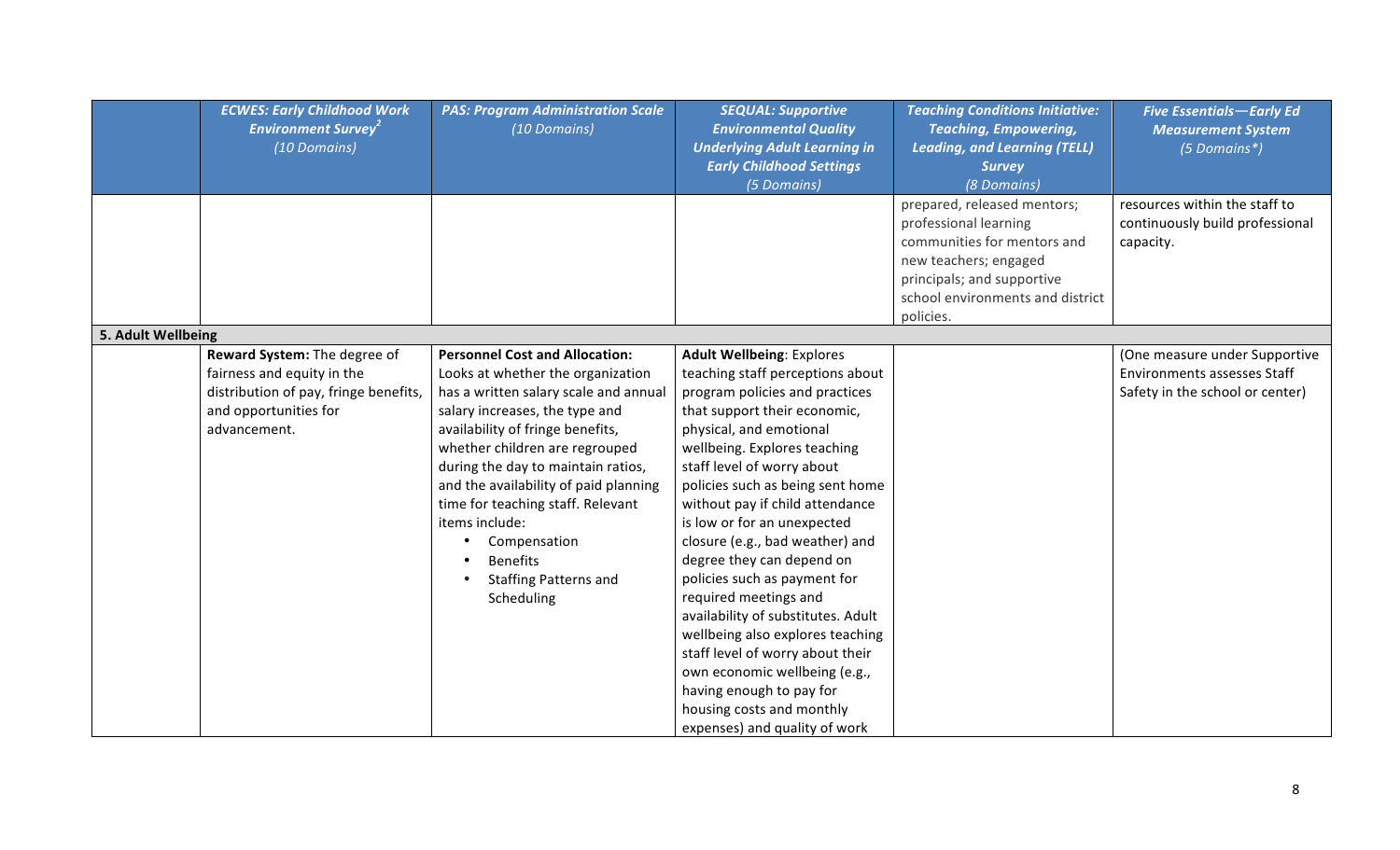|                    | <b>ECWES: Early Childhood Work</b><br><b>Environment Survey<sup>2</sup></b><br>(10 Domains)                                                  | <b>PAS: Program Administration Scale</b><br>(10 Domains)                                                                                                                                                                                                                                                                                                                                                                                           | <b>SEQUAL: Supportive</b><br><b>Environmental Quality</b><br><b>Underlying Adult Learning in</b><br><b>Early Childhood Settings</b><br>(5 Domains)                                                                                                                                                                                                                                                                                                                                                                                                                                                                                                                                                      | <b>Teaching Conditions Initiative:</b><br><b>Teaching, Empowering,</b><br><b>Leading, and Learning (TELL)</b><br><b>Survey</b><br>(8 Domains)                                               | <b>Five Essentials-Early Ed</b><br><b>Measurement System</b><br>(5 Domains*)                           |
|--------------------|----------------------------------------------------------------------------------------------------------------------------------------------|----------------------------------------------------------------------------------------------------------------------------------------------------------------------------------------------------------------------------------------------------------------------------------------------------------------------------------------------------------------------------------------------------------------------------------------------------|---------------------------------------------------------------------------------------------------------------------------------------------------------------------------------------------------------------------------------------------------------------------------------------------------------------------------------------------------------------------------------------------------------------------------------------------------------------------------------------------------------------------------------------------------------------------------------------------------------------------------------------------------------------------------------------------------------|---------------------------------------------------------------------------------------------------------------------------------------------------------------------------------------------|--------------------------------------------------------------------------------------------------------|
|                    |                                                                                                                                              |                                                                                                                                                                                                                                                                                                                                                                                                                                                    |                                                                                                                                                                                                                                                                                                                                                                                                                                                                                                                                                                                                                                                                                                         | prepared, released mentors;<br>professional learning<br>communities for mentors and<br>new teachers; engaged<br>principals; and supportive<br>school environments and district<br>policies. | resources within the staff to<br>continuously build professional<br>capacity.                          |
| 5. Adult Wellbeing |                                                                                                                                              |                                                                                                                                                                                                                                                                                                                                                                                                                                                    |                                                                                                                                                                                                                                                                                                                                                                                                                                                                                                                                                                                                                                                                                                         |                                                                                                                                                                                             |                                                                                                        |
|                    | Reward System: The degree of<br>fairness and equity in the<br>distribution of pay, fringe benefits,<br>and opportunities for<br>advancement. | <b>Personnel Cost and Allocation:</b><br>Looks at whether the organization<br>has a written salary scale and annual<br>salary increases, the type and<br>availability of fringe benefits,<br>whether children are regrouped<br>during the day to maintain ratios,<br>and the availability of paid planning<br>time for teaching staff. Relevant<br>items include:<br>Compensation<br><b>Benefits</b><br><b>Staffing Patterns and</b><br>Scheduling | <b>Adult Wellbeing: Explores</b><br>teaching staff perceptions about<br>program policies and practices<br>that support their economic,<br>physical, and emotional<br>wellbeing. Explores teaching<br>staff level of worry about<br>policies such as being sent home<br>without pay if child attendance<br>is low or for an unexpected<br>closure (e.g., bad weather) and<br>degree they can depend on<br>policies such as payment for<br>required meetings and<br>availability of substitutes. Adult<br>wellbeing also explores teaching<br>staff level of worry about their<br>own economic wellbeing (e.g.,<br>having enough to pay for<br>housing costs and monthly<br>expenses) and quality of work |                                                                                                                                                                                             | (One measure under Supportive<br><b>Environments assesses Staff</b><br>Safety in the school or center) |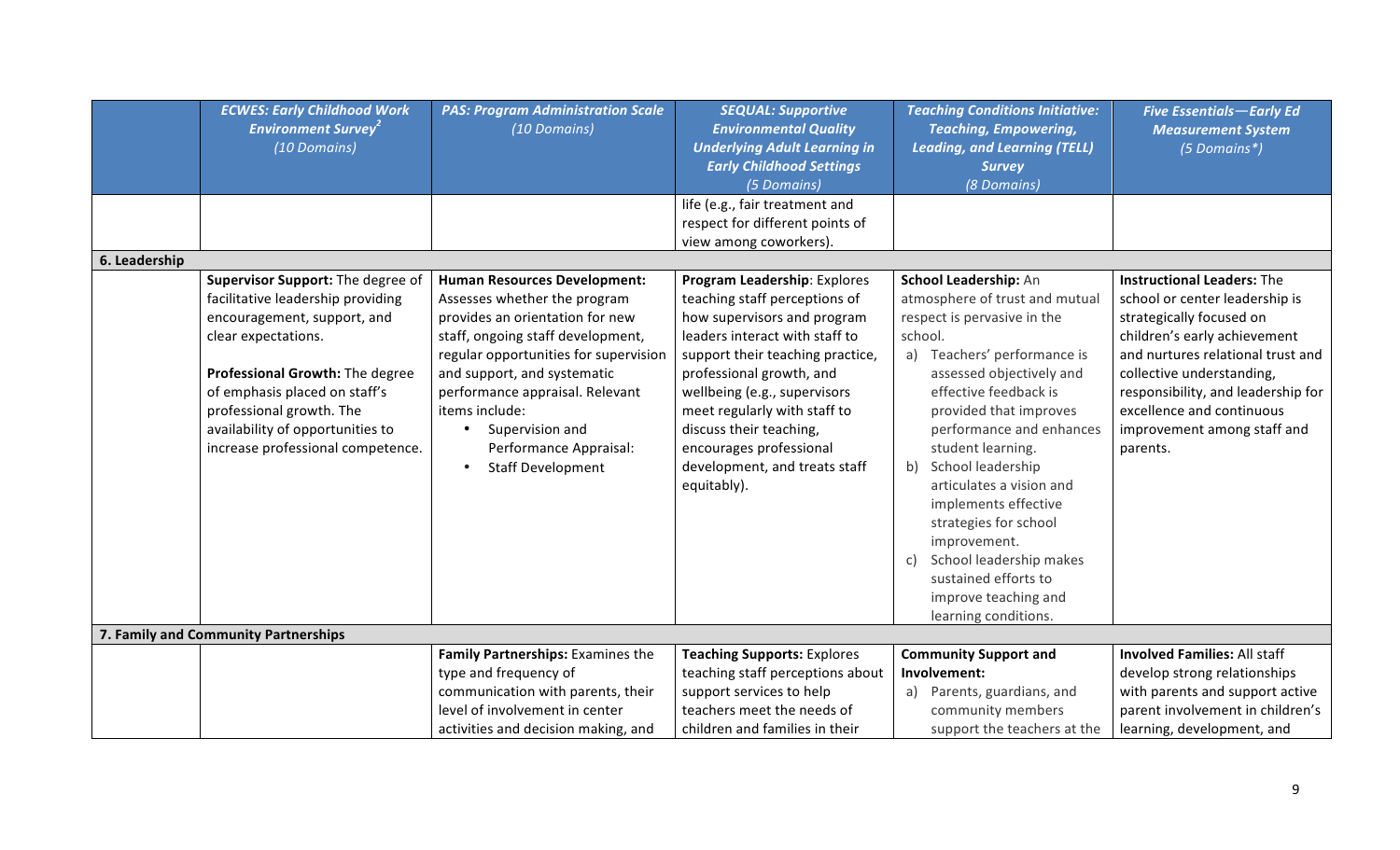|               | <b>ECWES: Early Childhood Work</b><br><b>Environment Survey<sup>2</sup></b><br>(10 Domains)                                                                                                                                                                                                           | <b>PAS: Program Administration Scale</b><br>(10 Domains)                                                                                                                                                                                                                                                                                                       | <b>SEQUAL: Supportive</b><br><b>Environmental Quality</b><br><b>Underlying Adult Learning in</b><br><b>Early Childhood Settings</b><br>(5 Domains)                                                                                                                                                                                                                   | <b>Teaching Conditions Initiative:</b><br><b>Teaching, Empowering,</b><br><b>Leading, and Learning (TELL)</b><br><b>Survey</b><br>(8 Domains)                                                                                                                                                                                                                                                                                                                                                        | <b>Five Essentials-Early Ed</b><br><b>Measurement System</b><br>(5 Domains*)                                                                                                                                                                                                                                    |
|---------------|-------------------------------------------------------------------------------------------------------------------------------------------------------------------------------------------------------------------------------------------------------------------------------------------------------|----------------------------------------------------------------------------------------------------------------------------------------------------------------------------------------------------------------------------------------------------------------------------------------------------------------------------------------------------------------|----------------------------------------------------------------------------------------------------------------------------------------------------------------------------------------------------------------------------------------------------------------------------------------------------------------------------------------------------------------------|------------------------------------------------------------------------------------------------------------------------------------------------------------------------------------------------------------------------------------------------------------------------------------------------------------------------------------------------------------------------------------------------------------------------------------------------------------------------------------------------------|-----------------------------------------------------------------------------------------------------------------------------------------------------------------------------------------------------------------------------------------------------------------------------------------------------------------|
|               |                                                                                                                                                                                                                                                                                                       |                                                                                                                                                                                                                                                                                                                                                                | life (e.g., fair treatment and<br>respect for different points of                                                                                                                                                                                                                                                                                                    |                                                                                                                                                                                                                                                                                                                                                                                                                                                                                                      |                                                                                                                                                                                                                                                                                                                 |
|               |                                                                                                                                                                                                                                                                                                       |                                                                                                                                                                                                                                                                                                                                                                | view among coworkers).                                                                                                                                                                                                                                                                                                                                               |                                                                                                                                                                                                                                                                                                                                                                                                                                                                                                      |                                                                                                                                                                                                                                                                                                                 |
| 6. Leadership |                                                                                                                                                                                                                                                                                                       |                                                                                                                                                                                                                                                                                                                                                                |                                                                                                                                                                                                                                                                                                                                                                      |                                                                                                                                                                                                                                                                                                                                                                                                                                                                                                      |                                                                                                                                                                                                                                                                                                                 |
|               | Supervisor Support: The degree of<br>facilitative leadership providing<br>encouragement, support, and<br>clear expectations.<br>Professional Growth: The degree<br>of emphasis placed on staff's<br>professional growth. The<br>availability of opportunities to<br>increase professional competence. | <b>Human Resources Development:</b><br>Assesses whether the program<br>provides an orientation for new<br>staff, ongoing staff development,<br>regular opportunities for supervision<br>and support, and systematic<br>performance appraisal. Relevant<br>items include:<br>Supervision and<br>Performance Appraisal:<br><b>Staff Development</b><br>$\bullet$ | Program Leadership: Explores<br>teaching staff perceptions of<br>how supervisors and program<br>leaders interact with staff to<br>support their teaching practice,<br>professional growth, and<br>wellbeing (e.g., supervisors<br>meet regularly with staff to<br>discuss their teaching,<br>encourages professional<br>development, and treats staff<br>equitably). | School Leadership: An<br>atmosphere of trust and mutual<br>respect is pervasive in the<br>school.<br>Teachers' performance is<br>a)<br>assessed objectively and<br>effective feedback is<br>provided that improves<br>performance and enhances<br>student learning.<br>School leadership<br>b)<br>articulates a vision and<br>implements effective<br>strategies for school<br>improvement.<br>School leadership makes<br>C)<br>sustained efforts to<br>improve teaching and<br>learning conditions. | <b>Instructional Leaders: The</b><br>school or center leadership is<br>strategically focused on<br>children's early achievement<br>and nurtures relational trust and<br>collective understanding,<br>responsibility, and leadership for<br>excellence and continuous<br>improvement among staff and<br>parents. |
|               | 7. Family and Community Partnerships                                                                                                                                                                                                                                                                  |                                                                                                                                                                                                                                                                                                                                                                |                                                                                                                                                                                                                                                                                                                                                                      |                                                                                                                                                                                                                                                                                                                                                                                                                                                                                                      |                                                                                                                                                                                                                                                                                                                 |
|               |                                                                                                                                                                                                                                                                                                       | Family Partnerships: Examines the                                                                                                                                                                                                                                                                                                                              | <b>Teaching Supports: Explores</b>                                                                                                                                                                                                                                                                                                                                   | <b>Community Support and</b>                                                                                                                                                                                                                                                                                                                                                                                                                                                                         | <b>Involved Families: All staff</b>                                                                                                                                                                                                                                                                             |
|               |                                                                                                                                                                                                                                                                                                       | type and frequency of                                                                                                                                                                                                                                                                                                                                          | teaching staff perceptions about                                                                                                                                                                                                                                                                                                                                     | Involvement:                                                                                                                                                                                                                                                                                                                                                                                                                                                                                         | develop strong relationships                                                                                                                                                                                                                                                                                    |
|               |                                                                                                                                                                                                                                                                                                       | communication with parents, their                                                                                                                                                                                                                                                                                                                              | support services to help                                                                                                                                                                                                                                                                                                                                             | Parents, guardians, and<br>a)                                                                                                                                                                                                                                                                                                                                                                                                                                                                        | with parents and support active                                                                                                                                                                                                                                                                                 |
|               |                                                                                                                                                                                                                                                                                                       | level of involvement in center                                                                                                                                                                                                                                                                                                                                 | teachers meet the needs of                                                                                                                                                                                                                                                                                                                                           | community members                                                                                                                                                                                                                                                                                                                                                                                                                                                                                    | parent involvement in children's                                                                                                                                                                                                                                                                                |
|               |                                                                                                                                                                                                                                                                                                       | activities and decision making, and                                                                                                                                                                                                                                                                                                                            | children and families in their                                                                                                                                                                                                                                                                                                                                       | support the teachers at the                                                                                                                                                                                                                                                                                                                                                                                                                                                                          | learning, development, and                                                                                                                                                                                                                                                                                      |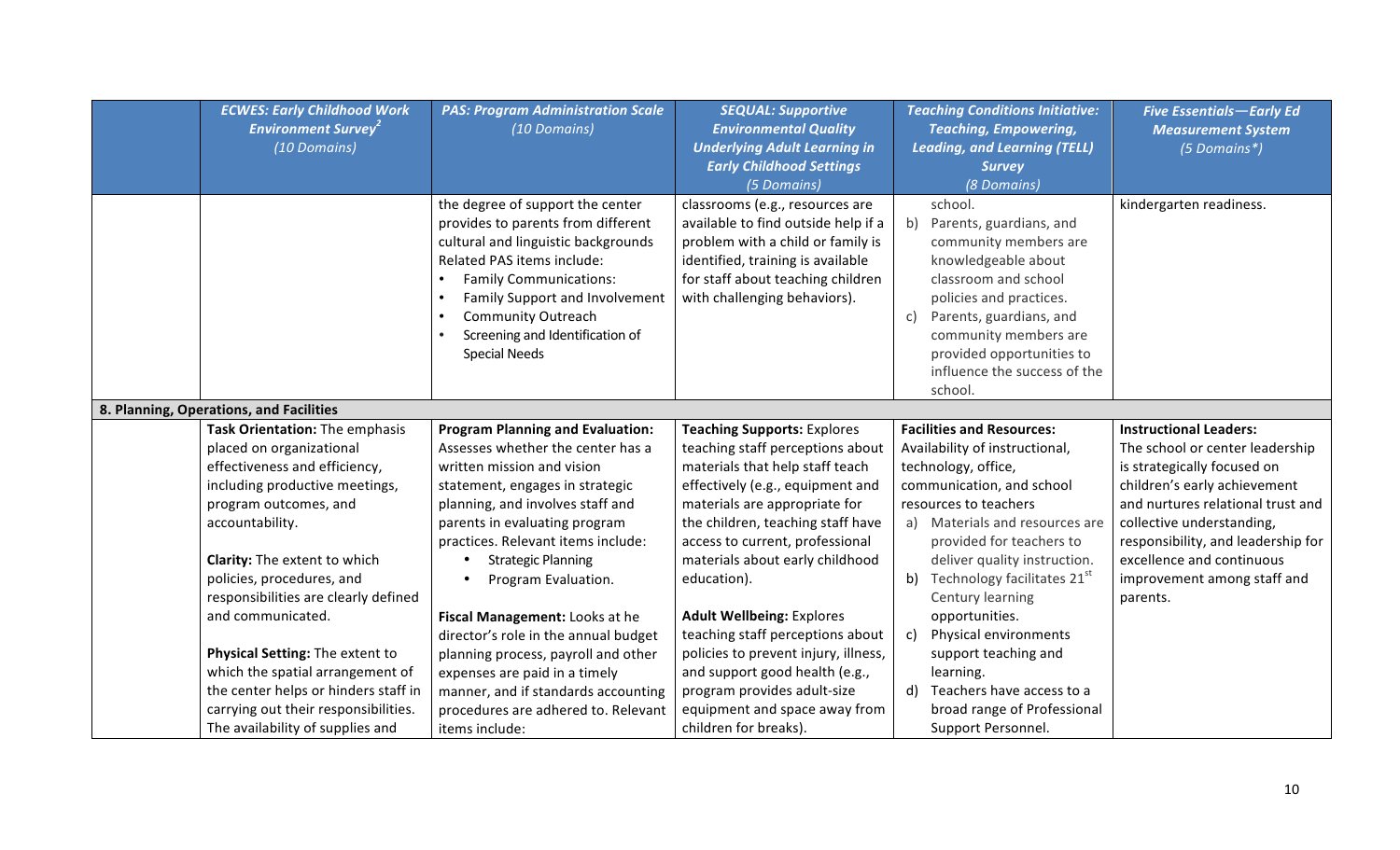| <b>ECWES: Early Childhood Work</b><br><b>Environment Survey<sup>2</sup></b><br>(10 Domains)                                                                                                                                                                                                                                                                                                                                                                                                    | <b>PAS: Program Administration Scale</b><br>(10 Domains)                                                                                                                                                                                                                                                                                                                                                                                                                                                                                                       | <b>SEQUAL: Supportive</b><br><b>Environmental Quality</b><br><b>Underlying Adult Learning in</b><br><b>Early Childhood Settings</b><br>(5 Domains)                                                                                                                                                                                                                                                                                                                                                                                                  | <b>Teaching Conditions Initiative:</b><br><b>Teaching, Empowering,</b><br><b>Leading, and Learning (TELL)</b><br><b>Survey</b><br>(8 Domains)                                                                                                                                                                                                                                                                                                                                                       | <b>Five Essentials-Early Ed</b><br><b>Measurement System</b><br>(5 Domains*)                                                                                                                                                                                                                                    |
|------------------------------------------------------------------------------------------------------------------------------------------------------------------------------------------------------------------------------------------------------------------------------------------------------------------------------------------------------------------------------------------------------------------------------------------------------------------------------------------------|----------------------------------------------------------------------------------------------------------------------------------------------------------------------------------------------------------------------------------------------------------------------------------------------------------------------------------------------------------------------------------------------------------------------------------------------------------------------------------------------------------------------------------------------------------------|-----------------------------------------------------------------------------------------------------------------------------------------------------------------------------------------------------------------------------------------------------------------------------------------------------------------------------------------------------------------------------------------------------------------------------------------------------------------------------------------------------------------------------------------------------|-----------------------------------------------------------------------------------------------------------------------------------------------------------------------------------------------------------------------------------------------------------------------------------------------------------------------------------------------------------------------------------------------------------------------------------------------------------------------------------------------------|-----------------------------------------------------------------------------------------------------------------------------------------------------------------------------------------------------------------------------------------------------------------------------------------------------------------|
|                                                                                                                                                                                                                                                                                                                                                                                                                                                                                                | the degree of support the center<br>provides to parents from different<br>cultural and linguistic backgrounds<br>Related PAS items include:<br><b>Family Communications:</b><br><b>Family Support and Involvement</b><br><b>Community Outreach</b><br>Screening and Identification of<br><b>Special Needs</b>                                                                                                                                                                                                                                                  | classrooms (e.g., resources are<br>available to find outside help if a<br>problem with a child or family is<br>identified, training is available<br>for staff about teaching children<br>with challenging behaviors).                                                                                                                                                                                                                                                                                                                               | school.<br>Parents, guardians, and<br>b)<br>community members are<br>knowledgeable about<br>classroom and school<br>policies and practices.<br>Parents, guardians, and<br>C)<br>community members are<br>provided opportunities to<br>influence the success of the<br>school.                                                                                                                                                                                                                       | kindergarten readiness.                                                                                                                                                                                                                                                                                         |
| 8. Planning, Operations, and Facilities                                                                                                                                                                                                                                                                                                                                                                                                                                                        |                                                                                                                                                                                                                                                                                                                                                                                                                                                                                                                                                                |                                                                                                                                                                                                                                                                                                                                                                                                                                                                                                                                                     |                                                                                                                                                                                                                                                                                                                                                                                                                                                                                                     |                                                                                                                                                                                                                                                                                                                 |
| Task Orientation: The emphasis<br>placed on organizational<br>effectiveness and efficiency,<br>including productive meetings,<br>program outcomes, and<br>accountability.<br>Clarity: The extent to which<br>policies, procedures, and<br>responsibilities are clearly defined<br>and communicated.<br>Physical Setting: The extent to<br>which the spatial arrangement of<br>the center helps or hinders staff in<br>carrying out their responsibilities.<br>The availability of supplies and | <b>Program Planning and Evaluation:</b><br>Assesses whether the center has a<br>written mission and vision<br>statement, engages in strategic<br>planning, and involves staff and<br>parents in evaluating program<br>practices. Relevant items include:<br><b>Strategic Planning</b><br>Program Evaluation.<br>Fiscal Management: Looks at he<br>director's role in the annual budget<br>planning process, payroll and other<br>expenses are paid in a timely<br>manner, and if standards accounting<br>procedures are adhered to. Relevant<br>items include: | <b>Teaching Supports: Explores</b><br>teaching staff perceptions about<br>materials that help staff teach<br>effectively (e.g., equipment and<br>materials are appropriate for<br>the children, teaching staff have<br>access to current, professional<br>materials about early childhood<br>education).<br><b>Adult Wellbeing: Explores</b><br>teaching staff perceptions about<br>policies to prevent injury, illness,<br>and support good health (e.g.,<br>program provides adult-size<br>equipment and space away from<br>children for breaks). | <b>Facilities and Resources:</b><br>Availability of instructional,<br>technology, office,<br>communication, and school<br>resources to teachers<br>Materials and resources are<br>a)<br>provided for teachers to<br>deliver quality instruction.<br>Technology facilitates 21 <sup>st</sup><br>b)<br>Century learning<br>opportunities.<br>Physical environments<br>C)<br>support teaching and<br>learning.<br>Teachers have access to a<br>d)<br>broad range of Professional<br>Support Personnel. | <b>Instructional Leaders:</b><br>The school or center leadership<br>is strategically focused on<br>children's early achievement<br>and nurtures relational trust and<br>collective understanding,<br>responsibility, and leadership for<br>excellence and continuous<br>improvement among staff and<br>parents. |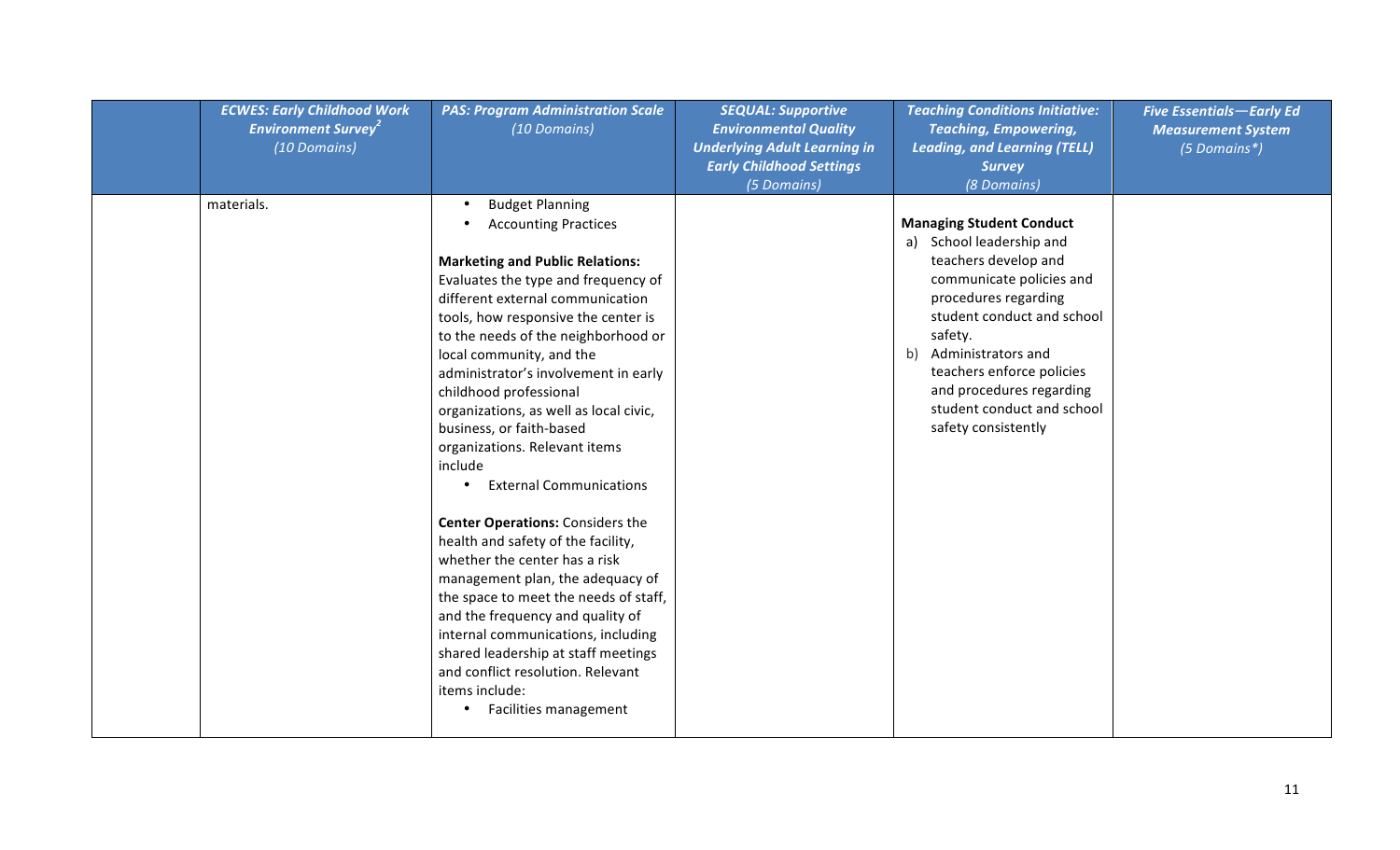| <b>ECWES: Early Childhood Work</b><br><b>Environment Survey<sup>2</sup></b><br>(10 Domains) | <b>PAS: Program Administration Scale</b><br>(10 Domains)                                                                                                                                                                                                                                                                                                                                                                                                                                                                                                                                                                                                                                                                                                                                                                                                                                                   | <b>SEQUAL: Supportive</b><br><b>Environmental Quality</b><br><b>Underlying Adult Learning in</b><br><b>Early Childhood Settings</b><br>(5 Domains) | <b>Teaching Conditions Initiative:</b><br><b>Teaching, Empowering,</b><br><b>Leading, and Learning (TELL)</b><br><b>Survey</b><br>(8 Domains)                                                                                                                                                                           | <b>Five Essentials-Early Ed</b><br><b>Measurement System</b><br>(5 Domains*) |
|---------------------------------------------------------------------------------------------|------------------------------------------------------------------------------------------------------------------------------------------------------------------------------------------------------------------------------------------------------------------------------------------------------------------------------------------------------------------------------------------------------------------------------------------------------------------------------------------------------------------------------------------------------------------------------------------------------------------------------------------------------------------------------------------------------------------------------------------------------------------------------------------------------------------------------------------------------------------------------------------------------------|----------------------------------------------------------------------------------------------------------------------------------------------------|-------------------------------------------------------------------------------------------------------------------------------------------------------------------------------------------------------------------------------------------------------------------------------------------------------------------------|------------------------------------------------------------------------------|
| materials.                                                                                  | <b>Budget Planning</b><br><b>Accounting Practices</b><br><b>Marketing and Public Relations:</b><br>Evaluates the type and frequency of<br>different external communication<br>tools, how responsive the center is<br>to the needs of the neighborhood or<br>local community, and the<br>administrator's involvement in early<br>childhood professional<br>organizations, as well as local civic,<br>business, or faith-based<br>organizations. Relevant items<br>include<br><b>External Communications</b><br><b>Center Operations: Considers the</b><br>health and safety of the facility,<br>whether the center has a risk<br>management plan, the adequacy of<br>the space to meet the needs of staff,<br>and the frequency and quality of<br>internal communications, including<br>shared leadership at staff meetings<br>and conflict resolution. Relevant<br>items include:<br>Facilities management |                                                                                                                                                    | <b>Managing Student Conduct</b><br>a) School leadership and<br>teachers develop and<br>communicate policies and<br>procedures regarding<br>student conduct and school<br>safety.<br>b) Administrators and<br>teachers enforce policies<br>and procedures regarding<br>student conduct and school<br>safety consistently |                                                                              |
|                                                                                             |                                                                                                                                                                                                                                                                                                                                                                                                                                                                                                                                                                                                                                                                                                                                                                                                                                                                                                            |                                                                                                                                                    |                                                                                                                                                                                                                                                                                                                         |                                                                              |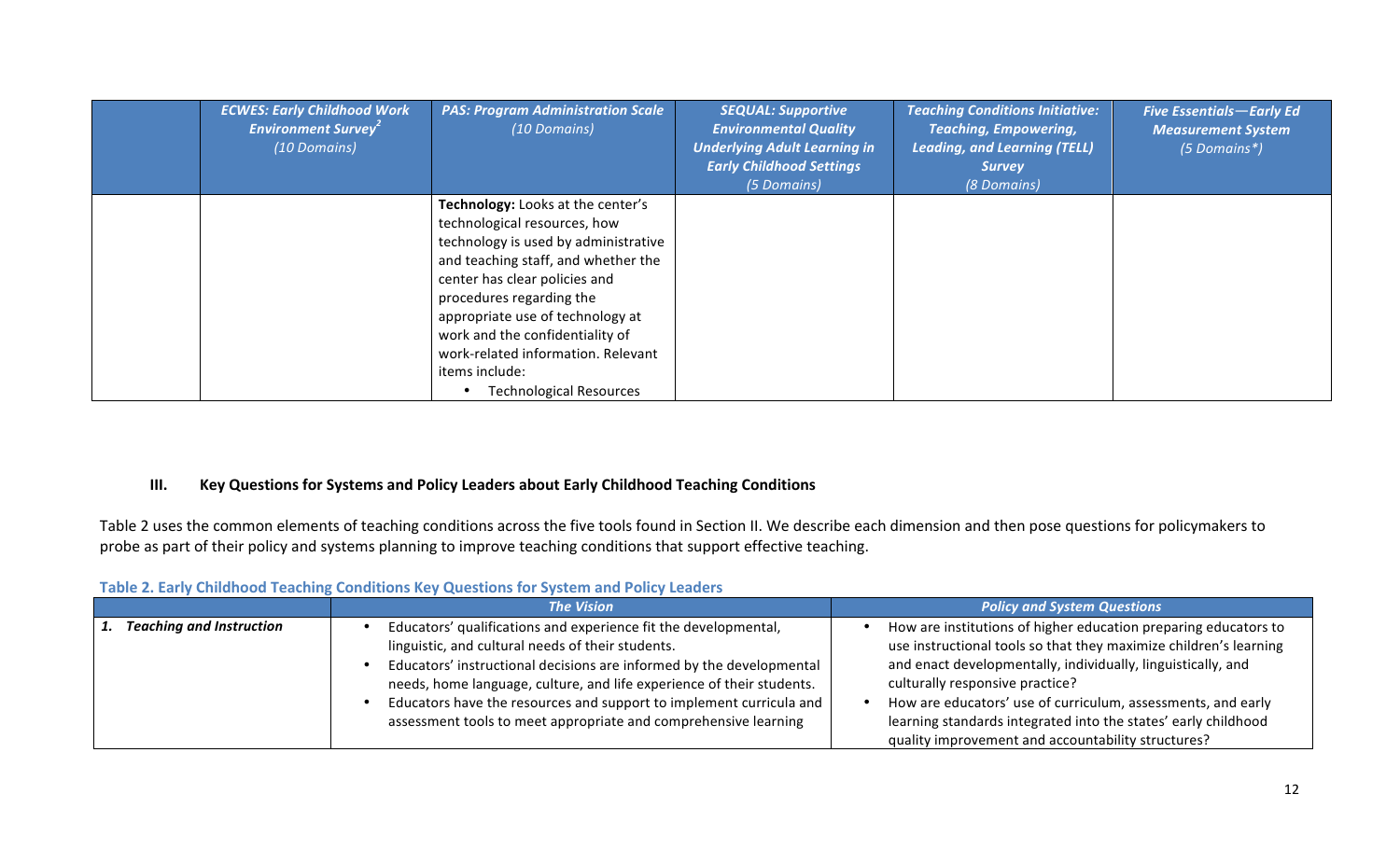| <b>ECWES: Early Childhood Work</b><br><b>Environment Survey<sup>2</sup></b><br>(10 Domains) | <b>PAS: Program Administration Scale</b><br>(10 Domains)                                                                                                                                                                                                                                                                                                                       | <b>SEQUAL: Supportive</b><br><b>Environmental Quality</b><br><b>Underlying Adult Learning in</b><br><b>Early Childhood Settings</b><br>(5 Domains) | <b>Teaching Conditions Initiative:</b><br><b>Teaching, Empowering,</b><br><b>Leading, and Learning (TELL)</b><br><b>Survey</b><br>(8 Domains) | <b>Five Essentials-Early Ed</b><br><b>Measurement System</b><br>(5 Domains*) |
|---------------------------------------------------------------------------------------------|--------------------------------------------------------------------------------------------------------------------------------------------------------------------------------------------------------------------------------------------------------------------------------------------------------------------------------------------------------------------------------|----------------------------------------------------------------------------------------------------------------------------------------------------|-----------------------------------------------------------------------------------------------------------------------------------------------|------------------------------------------------------------------------------|
|                                                                                             | Technology: Looks at the center's<br>technological resources, how<br>technology is used by administrative<br>and teaching staff, and whether the<br>center has clear policies and<br>procedures regarding the<br>appropriate use of technology at<br>work and the confidentiality of<br>work-related information. Relevant<br>items include:<br><b>Technological Resources</b> |                                                                                                                                                    |                                                                                                                                               |                                                                              |

## **III. Key Questions for Systems and Policy Leaders about Early Childhood Teaching Conditions**

Table 2 uses the common elements of teaching conditions across the five tools found in Section II. We describe each dimension and then pose questions for policymakers to probe as part of their policy and systems planning to improve teaching conditions that support effective teaching.

|                                 | <b>The Vision</b>                                                                                                                                                                                                                                                                                                                                                                                               | <b>Policy and System Questions</b>                                                                                                                                                                                                                                                                                                                                                                                              |
|---------------------------------|-----------------------------------------------------------------------------------------------------------------------------------------------------------------------------------------------------------------------------------------------------------------------------------------------------------------------------------------------------------------------------------------------------------------|---------------------------------------------------------------------------------------------------------------------------------------------------------------------------------------------------------------------------------------------------------------------------------------------------------------------------------------------------------------------------------------------------------------------------------|
| <b>Teaching and Instruction</b> | Educators' qualifications and experience fit the developmental,<br>linguistic, and cultural needs of their students.<br>Educators' instructional decisions are informed by the developmental<br>needs, home language, culture, and life experience of their students.<br>Educators have the resources and support to implement curricula and<br>assessment tools to meet appropriate and comprehensive learning | How are institutions of higher education preparing educators to<br>use instructional tools so that they maximize children's learning<br>and enact developmentally, individually, linguistically, and<br>culturally responsive practice?<br>How are educators' use of curriculum, assessments, and early<br>learning standards integrated into the states' early childhood<br>quality improvement and accountability structures? |

## **Table 2. Early Childhood Teaching Conditions Key Questions for System and Policy Leaders**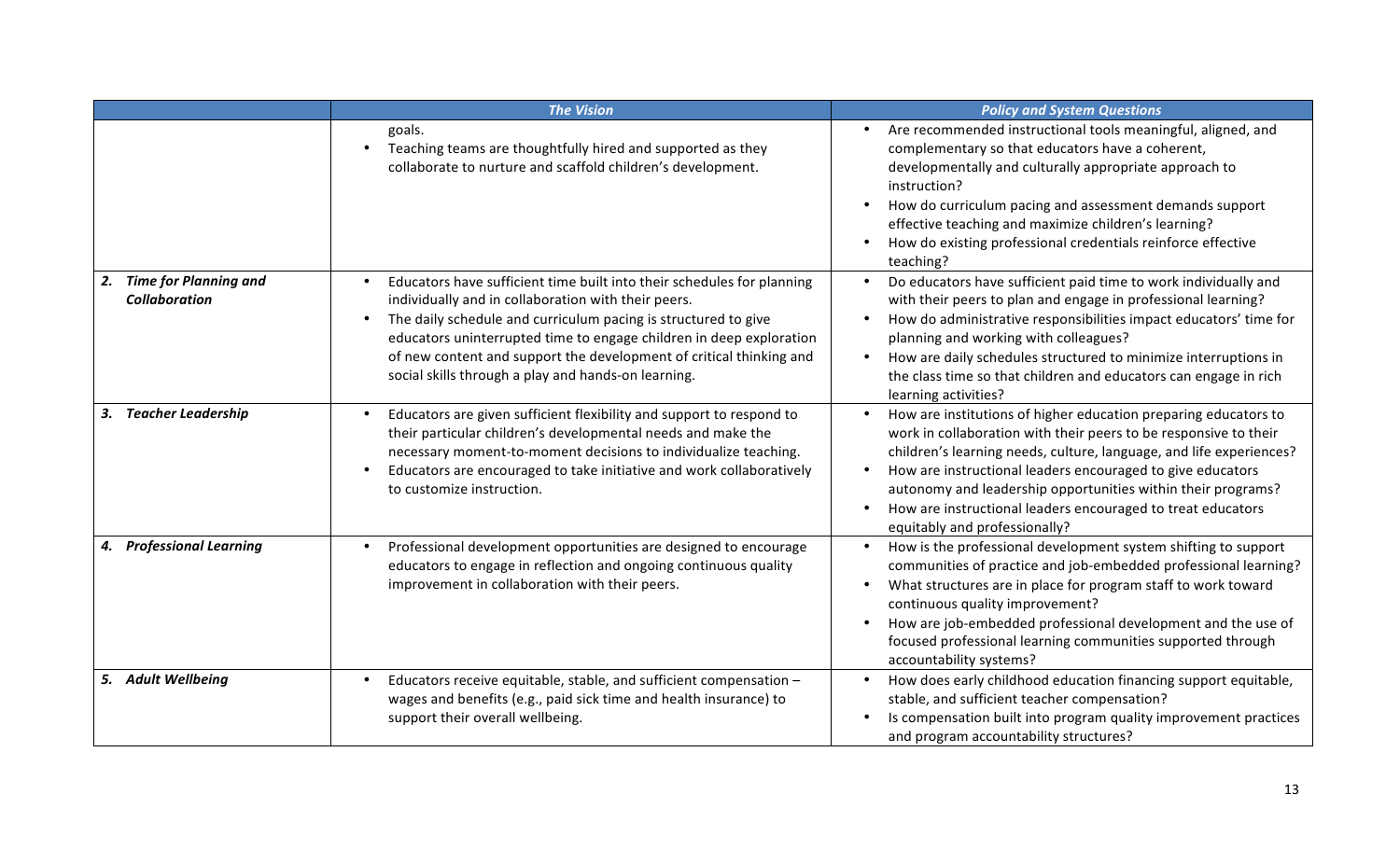|                                                  | <b>The Vision</b>                                                                                                                                                                                                                                                                                                                                                                                    | <b>Policy and System Questions</b>                                                                                                                                                                                                                                                                                                                                                                                                       |
|--------------------------------------------------|------------------------------------------------------------------------------------------------------------------------------------------------------------------------------------------------------------------------------------------------------------------------------------------------------------------------------------------------------------------------------------------------------|------------------------------------------------------------------------------------------------------------------------------------------------------------------------------------------------------------------------------------------------------------------------------------------------------------------------------------------------------------------------------------------------------------------------------------------|
|                                                  | goals.<br>Teaching teams are thoughtfully hired and supported as they<br>collaborate to nurture and scaffold children's development.                                                                                                                                                                                                                                                                 | Are recommended instructional tools meaningful, aligned, and<br>complementary so that educators have a coherent,<br>developmentally and culturally appropriate approach to<br>instruction?<br>How do curriculum pacing and assessment demands support<br>effective teaching and maximize children's learning?<br>How do existing professional credentials reinforce effective<br>teaching?                                               |
| 2. Time for Planning and<br><b>Collaboration</b> | Educators have sufficient time built into their schedules for planning<br>individually and in collaboration with their peers.<br>The daily schedule and curriculum pacing is structured to give<br>educators uninterrupted time to engage children in deep exploration<br>of new content and support the development of critical thinking and<br>social skills through a play and hands-on learning. | Do educators have sufficient paid time to work individually and<br>with their peers to plan and engage in professional learning?<br>How do administrative responsibilities impact educators' time for<br>planning and working with colleagues?<br>How are daily schedules structured to minimize interruptions in<br>the class time so that children and educators can engage in rich<br>learning activities?                            |
| 3. Teacher Leadership                            | Educators are given sufficient flexibility and support to respond to<br>their particular children's developmental needs and make the<br>necessary moment-to-moment decisions to individualize teaching.<br>Educators are encouraged to take initiative and work collaboratively<br>to customize instruction.                                                                                         | How are institutions of higher education preparing educators to<br>work in collaboration with their peers to be responsive to their<br>children's learning needs, culture, language, and life experiences?<br>How are instructional leaders encouraged to give educators<br>autonomy and leadership opportunities within their programs?<br>How are instructional leaders encouraged to treat educators<br>equitably and professionally? |
| 4. Professional Learning                         | Professional development opportunities are designed to encourage<br>educators to engage in reflection and ongoing continuous quality<br>improvement in collaboration with their peers.                                                                                                                                                                                                               | How is the professional development system shifting to support<br>communities of practice and job-embedded professional learning?<br>What structures are in place for program staff to work toward<br>continuous quality improvement?<br>How are job-embedded professional development and the use of<br>focused professional learning communities supported through<br>accountability systems?                                          |
| 5. Adult Wellbeing                               | Educators receive equitable, stable, and sufficient compensation -<br>wages and benefits (e.g., paid sick time and health insurance) to<br>support their overall wellbeing.                                                                                                                                                                                                                          | How does early childhood education financing support equitable,<br>stable, and sufficient teacher compensation?<br>Is compensation built into program quality improvement practices<br>and program accountability structures?                                                                                                                                                                                                            |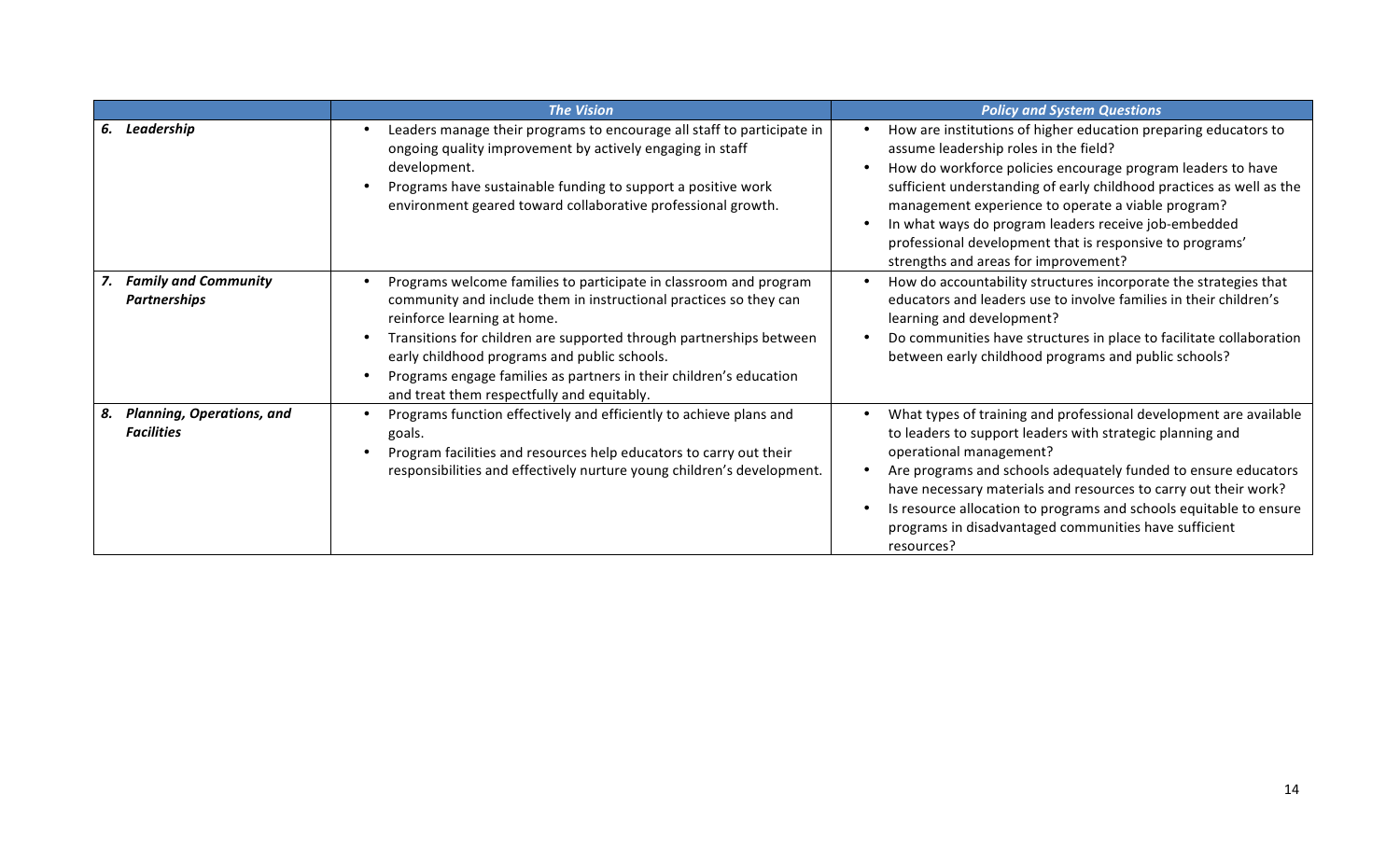|                                                             | <b>The Vision</b>                                                                                                                                                                                                                                                                                                                                                                                                | <b>Policy and System Questions</b>                                                                                                                                                                                                                                                                                                                                                                                                                                |
|-------------------------------------------------------------|------------------------------------------------------------------------------------------------------------------------------------------------------------------------------------------------------------------------------------------------------------------------------------------------------------------------------------------------------------------------------------------------------------------|-------------------------------------------------------------------------------------------------------------------------------------------------------------------------------------------------------------------------------------------------------------------------------------------------------------------------------------------------------------------------------------------------------------------------------------------------------------------|
| 6. Leadership                                               | Leaders manage their programs to encourage all staff to participate in<br>ongoing quality improvement by actively engaging in staff<br>development.<br>Programs have sustainable funding to support a positive work<br>environment geared toward collaborative professional growth.                                                                                                                              | How are institutions of higher education preparing educators to<br>assume leadership roles in the field?<br>How do workforce policies encourage program leaders to have<br>sufficient understanding of early childhood practices as well as the<br>management experience to operate a viable program?<br>In what ways do program leaders receive job-embedded<br>professional development that is responsive to programs'<br>strengths and areas for improvement? |
| <b>Family and Community</b><br><b>Partnerships</b>          | Programs welcome families to participate in classroom and program<br>community and include them in instructional practices so they can<br>reinforce learning at home.<br>Transitions for children are supported through partnerships between<br>early childhood programs and public schools.<br>Programs engage families as partners in their children's education<br>and treat them respectfully and equitably. | How do accountability structures incorporate the strategies that<br>educators and leaders use to involve families in their children's<br>learning and development?<br>Do communities have structures in place to facilitate collaboration<br>between early childhood programs and public schools?                                                                                                                                                                 |
| <b>Planning, Operations, and</b><br>8.<br><b>Facilities</b> | Programs function effectively and efficiently to achieve plans and<br>goals.<br>Program facilities and resources help educators to carry out their<br>responsibilities and effectively nurture young children's development.                                                                                                                                                                                     | What types of training and professional development are available<br>to leaders to support leaders with strategic planning and<br>operational management?<br>Are programs and schools adequately funded to ensure educators<br>have necessary materials and resources to carry out their work?<br>Is resource allocation to programs and schools equitable to ensure<br>programs in disadvantaged communities have sufficient<br>resources?                       |